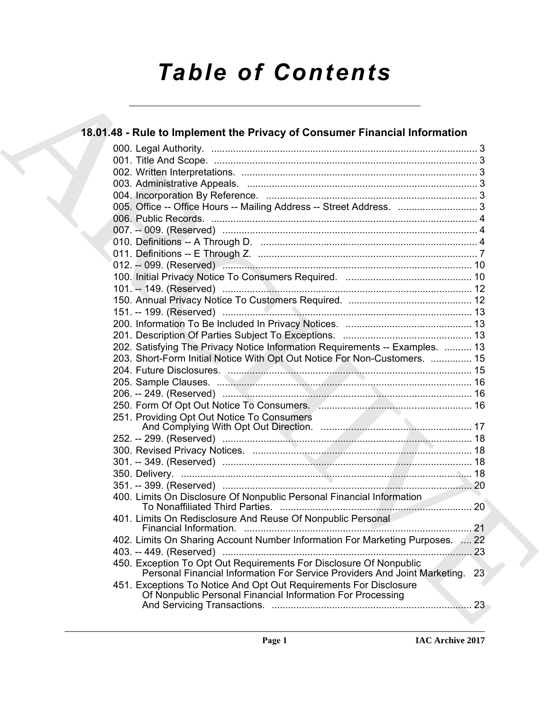# *Table of Contents*

| 18.01.48 - Rule to Implement the Privacy of Consumer Financial Information                                                                         |  |
|----------------------------------------------------------------------------------------------------------------------------------------------------|--|
|                                                                                                                                                    |  |
|                                                                                                                                                    |  |
|                                                                                                                                                    |  |
|                                                                                                                                                    |  |
|                                                                                                                                                    |  |
| 005. Office -- Office Hours -- Mailing Address -- Street Address.  3                                                                               |  |
|                                                                                                                                                    |  |
|                                                                                                                                                    |  |
|                                                                                                                                                    |  |
|                                                                                                                                                    |  |
|                                                                                                                                                    |  |
|                                                                                                                                                    |  |
|                                                                                                                                                    |  |
|                                                                                                                                                    |  |
|                                                                                                                                                    |  |
|                                                                                                                                                    |  |
|                                                                                                                                                    |  |
| 202. Satisfying The Privacy Notice Information Requirements -- Examples.  13                                                                       |  |
| 203. Short-Form Initial Notice With Opt Out Notice For Non-Customers.  15                                                                          |  |
|                                                                                                                                                    |  |
|                                                                                                                                                    |  |
|                                                                                                                                                    |  |
|                                                                                                                                                    |  |
| 251. Providing Opt Out Notice To Consumers                                                                                                         |  |
|                                                                                                                                                    |  |
|                                                                                                                                                    |  |
|                                                                                                                                                    |  |
|                                                                                                                                                    |  |
|                                                                                                                                                    |  |
| 400. Limits On Disclosure Of Nonpublic Personal Financial Information                                                                              |  |
| 401. Limits On Redisclosure And Reuse Of Nonpublic Personal                                                                                        |  |
| 402. Limits On Sharing Account Number Information For Marketing Purposes.  22                                                                      |  |
|                                                                                                                                                    |  |
| 450. Exception To Opt Out Requirements For Disclosure Of Nonpublic<br>Personal Financial Information For Service Providers And Joint Marketing. 23 |  |
| 451. Exceptions To Notice And Opt Out Requirements For Disclosure<br>Of Nonpublic Personal Financial Information For Processing                    |  |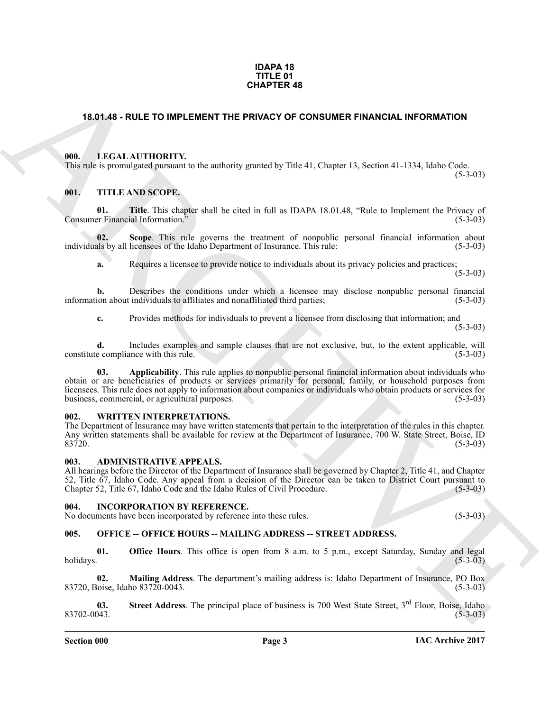#### **IDAPA 18 TITLE 01 CHAPTER 48**

#### <span id="page-2-0"></span>**18.01.48 - RULE TO IMPLEMENT THE PRIVACY OF CONSUMER FINANCIAL INFORMATION**

#### <span id="page-2-1"></span>**000. LEGAL AUTHORITY.**

This rule is promulgated pursuant to the authority granted by Title 41, Chapter 13, Section 41-1334, Idaho Code.

#### <span id="page-2-2"></span>**001. TITLE AND SCOPE.**

**01. Title**. This chapter shall be cited in full as IDAPA 18.01.48, "Rule to Implement the Privacy of er Financial Information." (5-3-03) Consumer Financial Information.<sup>3</sup>

**02.** Scope. This rule governs the treatment of nonpublic personal financial information about als by all licensees of the Idaho Department of Insurance. This rule: (5-3-03) individuals by all licensees of the Idaho Department of Insurance. This rule:

**a.** Requires a licensee to provide notice to individuals about its privacy policies and practices;  $(5-3-03)$ 

**b.** Describes the conditions under which a licensee may disclose nonpublic personal financial ion about individuals to affiliates and nonaffiliated third parties; (5-3-03) information about individuals to affiliates and nonaffiliated third parties;

**c.** Provides methods for individuals to prevent a licensee from disclosing that information; and

 $(5-3-03)$ 

 $(5-3-03)$ 

**d.** Includes examples and sample clauses that are not exclusive, but, to the extent applicable, will be compliance with this rule. (5-3-03) constitute compliance with this rule.

**CHAPTER 48**<br> **CHAPTER 48**<br> **CHAPTER CHAPTER CONSULTS:** The PRIVACY OF CONSUMER FINANCIAL INFORMATION<br>
THE LIGAL AUTIONITY: the demonstrate the light 41, Chapter 13, Section 41 1334, Ideals Code<br> **Consults:** THE *KN*B SCO **03. Applicability**. This rule applies to nonpublic personal financial information about individuals who obtain or are beneficiaries of products or services primarily for personal, family, or household purposes from licensees. This rule does not apply to information about companies or individuals who obtain products or services for business, commercial, or agricultural purposes. (5-3-03) business, commercial, or agricultural purposes.

#### <span id="page-2-3"></span>**WRITTEN INTERPRETATIONS.**

The Department of Insurance may have written statements that pertain to the interpretation of the rules in this chapter. Any written statements shall be available for review at the Department of Insurance, 700 W. State Street, Boise, ID<br>83720. (5-3-03)  $83720.$  (5-3-03)

#### <span id="page-2-4"></span>**003. ADMINISTRATIVE APPEALS.**

All hearings before the Director of the Department of Insurance shall be governed by Chapter 2, Title 41, and Chapter 52, Title 67, Idaho Code. Any appeal from a decision of the Director can be taken to District Court pursuant to Chapter 52, Title 67, Idaho Code and the Idaho Rules of Civil Procedure.

#### <span id="page-2-5"></span>**004. INCORPORATION BY REFERENCE.**

No documents have been incorporated by reference into these rules. (5-3-03)

### <span id="page-2-6"></span>**005. OFFICE -- OFFICE HOURS -- MAILING ADDRESS -- STREET ADDRESS.**

**01. Office Hours**. This office is open from 8 a.m. to 5 p.m., except Saturday, Sunday and legal holidays. (5-3-03)

**02. Mailing Address**. The department's mailing address is: Idaho Department of Insurance, PO Box 83720, Boise, Idaho 83720-0043. (5-3-03)

**03.** Street Address. The principal place of business is 700 West State Street, 3<sup>rd</sup> Floor, Boise, Idaho 83702-0043. 83702-0043. (5-3-03)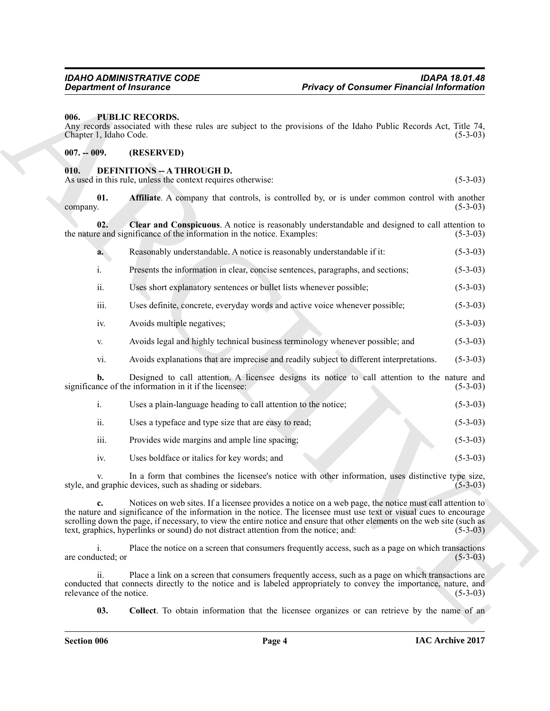#### <span id="page-3-0"></span>**006. PUBLIC RECORDS.**

#### <span id="page-3-1"></span>**007. -- 009. (RESERVED)**

#### <span id="page-3-5"></span><span id="page-3-4"></span><span id="page-3-3"></span><span id="page-3-2"></span>**010. DEFINITIONS -- A THROUGH D.**

|                                     | <b>Privacy of Consumer Financial Information</b><br><b>Department of Insurance</b>                                                                                                                                                                                                                                                                                                                                                                 |                |
|-------------------------------------|----------------------------------------------------------------------------------------------------------------------------------------------------------------------------------------------------------------------------------------------------------------------------------------------------------------------------------------------------------------------------------------------------------------------------------------------------|----------------|
| 006.<br>Chapter 1, Idaho Code.      | <b>PUBLIC RECORDS.</b><br>Any records associated with these rules are subject to the provisions of the Idaho Public Records Act, Title 74,                                                                                                                                                                                                                                                                                                         | $(5-3-03)$     |
| $007. - 009.$                       | (RESERVED)                                                                                                                                                                                                                                                                                                                                                                                                                                         |                |
| 010.                                | <b>DEFINITIONS -- A THROUGH D.</b><br>As used in this rule, unless the context requires otherwise:                                                                                                                                                                                                                                                                                                                                                 | $(5-3-03)$     |
| 01.<br>company.                     | Affiliate. A company that controls, is controlled by, or is under common control with another                                                                                                                                                                                                                                                                                                                                                      | $(5-3-03)$     |
| 02.                                 | Clear and Conspicuous. A notice is reasonably understandable and designed to call attention to<br>the nature and significance of the information in the notice. Examples:                                                                                                                                                                                                                                                                          | $(5-3-03)$     |
| a.                                  | Reasonably understandable. A notice is reasonably understandable if it:                                                                                                                                                                                                                                                                                                                                                                            | $(5-3-03)$     |
| i.                                  | Presents the information in clear, concise sentences, paragraphs, and sections;                                                                                                                                                                                                                                                                                                                                                                    | $(5-3-03)$     |
| ii.                                 | Uses short explanatory sentences or bullet lists whenever possible;                                                                                                                                                                                                                                                                                                                                                                                | $(5-3-03)$     |
| iii.                                | Uses definite, concrete, everyday words and active voice whenever possible;                                                                                                                                                                                                                                                                                                                                                                        | $(5-3-03)$     |
| iv.                                 | Avoids multiple negatives;                                                                                                                                                                                                                                                                                                                                                                                                                         | $(5-3-03)$     |
| V.                                  | Avoids legal and highly technical business terminology whenever possible; and                                                                                                                                                                                                                                                                                                                                                                      | $(5-3-03)$     |
| vi.                                 | Avoids explanations that are imprecise and readily subject to different interpretations.                                                                                                                                                                                                                                                                                                                                                           | $(5-3-03)$     |
| b.                                  | Designed to call attention. A licensee designs its notice to call attention to the nature and<br>significance of the information in it if the licensee:                                                                                                                                                                                                                                                                                            | $(5-3-03)$     |
| $\mathbf{i}$ .                      | Uses a plain-language heading to call attention to the notice;                                                                                                                                                                                                                                                                                                                                                                                     | $(5-3-03)$     |
| ii.                                 | Uses a typeface and type size that are easy to read;                                                                                                                                                                                                                                                                                                                                                                                               | $(5-3-03)$     |
| iii.                                | Provides wide margins and ample line spacing;                                                                                                                                                                                                                                                                                                                                                                                                      | $(5-3-03)$     |
| iv.                                 | Uses boldface or italics for key words; and                                                                                                                                                                                                                                                                                                                                                                                                        | $(5-3-03)$     |
| V.                                  | In a form that combines the licensee's notice with other information, uses distinctive type size,<br>style, and graphic devices, such as shading or sidebars.                                                                                                                                                                                                                                                                                      | $(5 - 3 - 03)$ |
| c.                                  | Notices on web sites. If a licensee provides a notice on a web page, the notice must call attention to<br>the nature and significance of the information in the notice. The licensee must use text or visual cues to encourage<br>scrolling down the page, if necessary, to view the entire notice and ensure that other elements on the web site (such as<br>text, graphics, hyperlinks or sound) do not distract attention from the notice; and: | $(5-3-03)$     |
| $\mathbf{i}$ .<br>are conducted; or | Place the notice on a screen that consumers frequently access, such as a page on which transactions                                                                                                                                                                                                                                                                                                                                                | $(5-3-03)$     |
| ii.<br>relevance of the notice.     | Place a link on a screen that consumers frequently access, such as a page on which transactions are<br>conducted that connects directly to the notice and is labeled appropriately to convey the importance, nature, and                                                                                                                                                                                                                           | $(5-3-03)$     |
| 03.                                 | Collect. To obtain information that the licensee organizes or can retrieve by the name of an                                                                                                                                                                                                                                                                                                                                                       |                |

- iv. Avoids multiple negatives; (5-3-03)
- v. Avoids legal and highly technical business terminology whenever possible; and (5-3-03)
- vi. Avoids explanations that are imprecise and readily subject to different interpretations. (5-3-03)

- i. Uses a plain-language heading to call attention to the notice; (5-3-03) ii. Uses a typeface and type size that are easy to read; (5-3-03) iii. Provides wide margins and ample line spacing; (5-3-03)
- <span id="page-3-6"></span>iv. Uses boldface or italics for key words; and (5-3-03)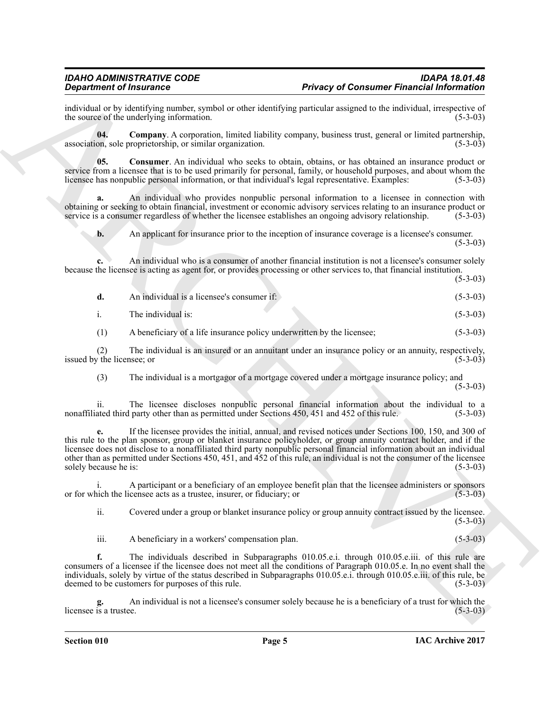individual or by identifying number, symbol or other identifying particular assigned to the individual, irrespective of the source of the underlying information. (5-3-03) the source of the underlying information.

<span id="page-4-0"></span>**04. Company**. A corporation, limited liability company, business trust, general or limited partnership, association, sole proprietorship, or similar organization. (5-3-03)

<span id="page-4-1"></span>**05. Consumer**. An individual who seeks to obtain, obtains, or has obtained an insurance product or service from a licensee that is to be used primarily for personal, family, or household purposes, and about whom the licensee has nonpublic personal information, or that individual's legal representative. Examples: (5-3-03)

**a.** An individual who provides nonpublic personal information to a licensee in connection with obtaining or seeking to obtain financial, investment or economic advisory services relating to an insurance product or service is a consumer regardless of whether the licensee establishes an ongoing advisory relationship. service is a consumer regardless of whether the licensee establishes an ongoing advisory relationship.

**b.** An applicant for insurance prior to the inception of insurance coverage is a licensee's consumer.

 $(5-3-03)$ 

**c.** An individual who is a consumer of another financial institution is not a licensee's consumer solely because the licensee is acting as agent for, or provides processing or other services to, that financial institution.

(5-3-03)

| An individual is a licensee's consumer if: | $(5-3-03)$ |
|--------------------------------------------|------------|
| The individual is:                         | $(5-3-03)$ |

(1) A beneficiary of a life insurance policy underwritten by the licensee; (5-3-03)

(2) The individual is an insured or an annuitant under an insurance policy or an annuity, respectively,  $y$  the licensee; or  $(5-3-03)$ issued by the licensee; or

(3) The individual is a mortgagor of a mortgage covered under a mortgage insurance policy; and (5-3-03)

ii. The licensee discloses nonpublic personal financial information about the individual to a fated third party other than as permitted under Sections 450, 451 and 452 of this rule. (5-3-03) nonaffiliated third party other than as permitted under Sections 450, 451 and 452 of this rule.

**Depertement of Finderings**<br> **Convention of the simulation consists and the shade and scheme and scheme and the method in the simulation of the simulation of the simulation of the simulation of the simulation of the simul e.** If the licensee provides the initial, annual, and revised notices under Sections 100, 150, and 300 of this rule to the plan sponsor, group or blanket insurance policyholder, or group annuity contract holder, and if the licensee does not disclose to a nonaffiliated third party nonpublic personal financial information about an individual other than as permitted under Sections 450, 451, and 452 of this rule, an individual is not the consumer of the licensee solely because he is:

A participant or a beneficiary of an employee benefit plan that the licensee administers or sponsors censee acts as a trustee, insurer, or fiduciary; or (5-3-03) or for which the licensee acts as a trustee, insurer, or fiduciary; or

ii. Covered under a group or blanket insurance policy or group annuity contract issued by the licensee.  $(5-3-03)$ 

iii. A beneficiary in a workers' compensation plan. (5-3-03)

**f.** The individuals described in Subparagraphs 010.05.e.i. through 010.05.e.iii. of this rule are consumers of a licensee if the licensee does not meet all the conditions of Paragraph 010.05.e. In no event shall the individuals, solely by virtue of the status described in Subparagraphs 010.05.e.i. through 010.05.e.iii. of this rule, be deemed to be customers for purposes of this rule. (5-3-03) deemed to be customers for purposes of this rule.

An individual is not a licensee's consumer solely because he is a beneficiary of a trust for which the ee. licensee is a trustee.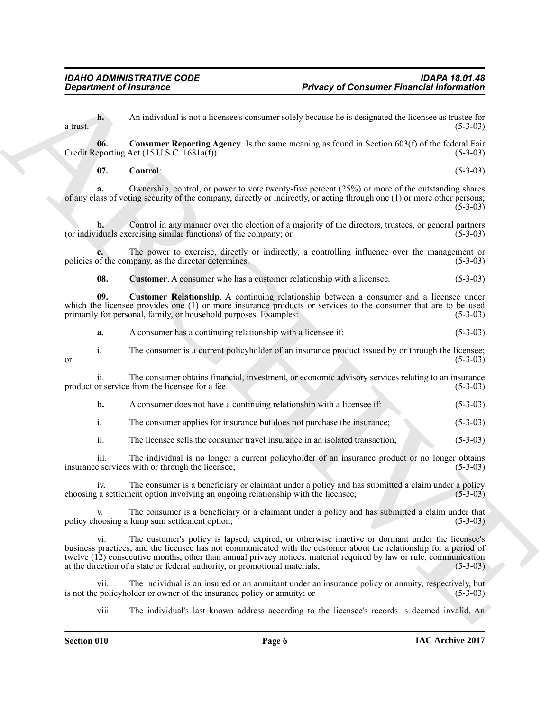**h.** An individual is not a licensee's consumer solely because he is designated the licensee as trustee for (5-3-03) a trust.  $(5-3-03)$ 

**06. Consumer Reporting Agency**. Is the same meaning as found in Section 603(f) of the federal Fair Credit Reporting Act  $(15 \text{ U.S.C. } 1681a(f))$ . (5-3-03)

<span id="page-5-1"></span><span id="page-5-0"></span>**07. Control**: (5-3-03)

**a.** Ownership, control, or power to vote twenty-five percent (25%) or more of the outstanding shares of any class of voting security of the company, directly or indirectly, or acting through one (1) or more other persons; (5-3-03)

**b.** Control in any manner over the election of a majority of the directors, trustees, or general partners (or individuals exercising similar functions) of the company; or (5-3-03)

**c.** The power to exercise, directly or indirectly, a controlling influence over the management or of the company, as the director determines. (5-3-03) policies of the company, as the director determines.

<span id="page-5-3"></span><span id="page-5-2"></span>**08.** Customer. A consumer who has a customer relationship with a licensee.  $(5-3-03)$ 

**09. Customer Relationship**. A continuing relationship between a consumer and a licensee under which the licensee provides one (1) or more insurance products or services to the consumer that are to be used<br>primarily for personal, family, or household purposes. Examples: (5-3-03) primarily for personal, family, or household purposes. Examples:

**a.** A consumer has a continuing relationship with a licensee if: (5-3-03)

i. The consumer is a current policyholder of an insurance product issued by or through the licensee;<br>(5-3-03) or  $(5-3-03)$ 

ii. The consumer obtains financial, investment, or economic advisory services relating to an insurance product or service from the licensee for a fee.

- **b.** A consumer does not have a continuing relationship with a licensee if: (5-3-03)
- i. The consumer applies for insurance but does not purchase the insurance; (5-3-03)

ii. The licensee sells the consumer travel insurance in an isolated transaction; (5-3-03)

iii. The individual is no longer a current policyholder of an insurance product or no longer obtains e services with or through the licensee: insurance services with or through the licensee;

iv. The consumer is a beneficiary or claimant under a policy and has submitted a claim under a policy as settlement option involving an ongoing relationship with the licensee: (5-3-03) choosing a settlement option involving an ongoing relationship with the licensee;

The consumer is a beneficiary or a claimant under a policy and has submitted a claim under that  $\text{lump sum}$  settlement option: (5-3-03) policy choosing a lump sum settlement option;

**Department of financines**<br>
An individual to avia the<br>convert consumer and/or bounded by the state and in the state of the state and<br>  $\mathbf{R}^n$  ( $\mathbf{R}^n$ ) ( $\mathbf{R}^n$ ) ( $\mathbf{R}^n$ ) ( $\mathbf{R}^n$ ) ( $\mathbf{R}^n$ ) ( $\mathbf{R}^n$ vi. The customer's policy is lapsed, expired, or otherwise inactive or dormant under the licensee's business practices, and the licensee has not communicated with the customer about the relationship for a period of twelve (12) consecutive months, other than annual privacy notices, material required by law or rule, communication at the direction of a state or federal authority, or promotional materials; (5-3-03)

vii. The individual is an insured or an annuitant under an insurance policy or annuity, respectively, but is not the policyholder or owner of the insurance policy or annuity; or

viii. The individual's last known address according to the licensee's records is deemed invalid. An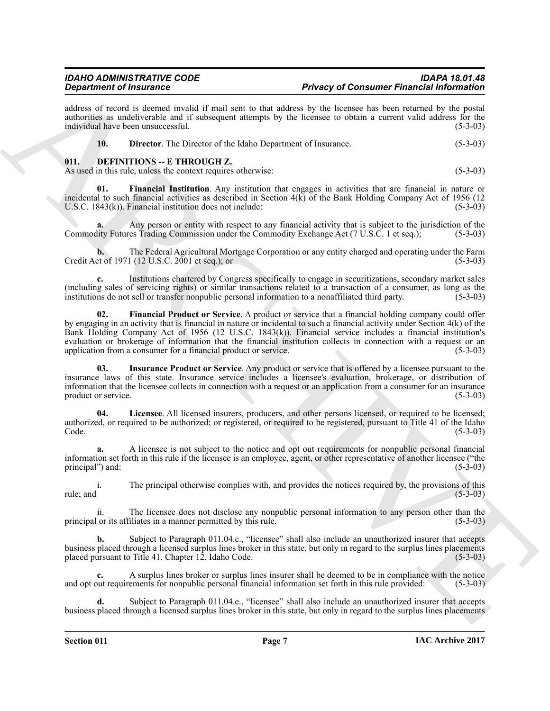### *IDAHO ADMINISTRATIVE CODE IDAPA 18.01.48* **Privacy of Consumer Financial Information**

address of record is deemed invalid if mail sent to that address by the licensee has been returned by the postal authorities as undeliverable and if subsequent attempts by the licensee to obtain a current valid address for the individual have been unsuccessful. (5-3-03) individual have been unsuccessful.

<span id="page-6-3"></span><span id="page-6-2"></span><span id="page-6-1"></span>

| <b>Director.</b> The Director of the Idaho Department of Insurance. | $(5-3-03)$ |
|---------------------------------------------------------------------|------------|
|---------------------------------------------------------------------|------------|

#### <span id="page-6-0"></span>**011. DEFINITIONS -- E THROUGH Z.**

As used in this rule, unless the context requires otherwise: (5-3-03)

**01. Financial Institution**. Any institution that engages in activities that are financial in nature or incidental to such financial activities as described in Section  $4(k)$  of the Bank Holding Company Act of 1956 (12 U.S.C. 1843(k)). Financial institution does not include: (5-3-03) U.S.C. 1843 $(k)$ ). Financial institution does not include:

**a.** Any person or entity with respect to any financial activity that is subject to the jurisdiction of the Commodity Futures Trading Commission under the Commodity Exchange Act (7 U.S.C. 1 et seq.); (5-3-03)

**b.** The Federal Agricultural Mortgage Corporation or any entity charged and operating under the Farm et of 1971 (12 U.S.C. 2001 et seq.); or Credit Act of 1971 (12 U.S.C. 2001 et seq.); or

<span id="page-6-4"></span>**c.** Institutions chartered by Congress specifically to engage in securitizations, secondary market sales (including sales of servicing rights) or similar transactions related to a transaction of a consumer, as long as the institutions do not sell or transfer nonpublic personal information to a nonaffiliated third party.

**Experimental interactions** and and solid a this distribute of Container Franchistan interactions and the state of the state of the state of the state of the state of the state of the state of the state of the state of th **02. Financial Product or Service**. A product or service that a financial holding company could offer by engaging in an activity that is financial in nature or incidental to such a financial activity under Section  $4(k)$  of the Bank Holding Company Act of 1956 (12 U.S.C. 1843(k)). Financial service includes a financial institution's evaluation or brokerage of information that the financial institution collects in connection with a request or an application from a consumer for a financial product or service. (5-3-03) application from a consumer for a financial product or service.

<span id="page-6-5"></span>**03. Insurance Product or Service**. Any product or service that is offered by a licensee pursuant to the insurance laws of this state. Insurance service includes a licensee's evaluation, brokerage, or distribution of information that the licensee collects in connection with a request or an application from a consumer for an insurance product or service. (5-3-03)

<span id="page-6-6"></span>**04. Licensee**. All licensed insurers, producers, and other persons licensed, or required to be licensed; authorized, or required to be authorized; or registered, or required to be registered, pursuant to Title 41 of the Idaho  $\text{Code.} \tag{5-3-03}$ 

**a.** A licensee is not subject to the notice and opt out requirements for nonpublic personal financial information set forth in this rule if the licensee is an employee, agent, or other representative of another licensee ("the principal") and:

i. The principal otherwise complies with, and provides the notices required by, the provisions of this rule; and  $(5-3-03)$ 

ii. The licensee does not disclose any nonpublic personal information to any person other than the or its affiliates in a manner permitted by this rule. (5-3-03) principal or its affiliates in a manner permitted by this rule.

**b.** Subject to Paragraph 011.04.c., "licensee" shall also include an unauthorized insurer that accepts business placed through a licensed surplus lines broker in this state, but only in regard to the surplus lines placements placed pursuant to Title 41, Chapter 12, Idaho Code. (5-3-03) placed pursuant to Title  $41$ , Chapter  $12$ , Idaho Code.

A surplus lines broker or surplus lines insurer shall be deemed to be in compliance with the notice ements for nonpublic personal financial information set forth in this rule provided:  $(5-3-03)$ and opt out requirements for nonpublic personal financial information set forth in this rule provided:

Subject to Paragraph 011.04.e., "licensee" shall also include an unauthorized insurer that accepts business placed through a licensed surplus lines broker in this state, but only in regard to the surplus lines placements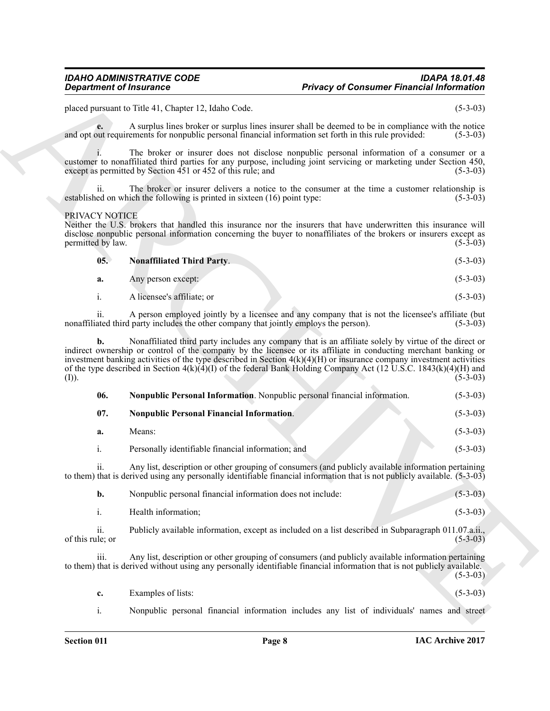#### PRIVACY NOTICE

<span id="page-7-2"></span><span id="page-7-1"></span><span id="page-7-0"></span>

| 05. | <b>Nonaffiliated Third Party.</b> | $(5-3-03)$ |
|-----|-----------------------------------|------------|
| а.  | Any person except:                | $(5-3-03)$ |
|     | A licensee's affiliate; or        | $(5-3-03)$ |

|                                     | <b>Privacy of Consumer Financial Information</b><br><b>Department of Insurance</b>                                                                                                                                                                                                                                                                                                                                                                                       |                          |
|-------------------------------------|--------------------------------------------------------------------------------------------------------------------------------------------------------------------------------------------------------------------------------------------------------------------------------------------------------------------------------------------------------------------------------------------------------------------------------------------------------------------------|--------------------------|
|                                     | placed pursuant to Title 41, Chapter 12, Idaho Code.                                                                                                                                                                                                                                                                                                                                                                                                                     | $(5-3-03)$               |
| e.                                  | A surplus lines broker or surplus lines insurer shall be deemed to be in compliance with the notice<br>and opt out requirements for nonpublic personal financial information set forth in this rule provided:                                                                                                                                                                                                                                                            | $(5-3-03)$               |
|                                     | The broker or insurer does not disclose nonpublic personal information of a consumer or a<br>customer to nonaffiliated third parties for any purpose, including joint servicing or marketing under Section 450,<br>except as permitted by Section 451 or 452 of this rule; and                                                                                                                                                                                           | $(5-3-03)$               |
| 11.                                 | The broker or insurer delivers a notice to the consumer at the time a customer relationship is<br>established on which the following is printed in sixteen (16) point type:                                                                                                                                                                                                                                                                                              | $(5-3-03)$               |
| PRIVACY NOTICE<br>permitted by law. | Neither the U.S. brokers that handled this insurance nor the insurers that have underwritten this insurance will<br>disclose nonpublic personal information concerning the buyer to nonaffiliates of the brokers or insurers except as                                                                                                                                                                                                                                   | $(5-3-03)$               |
| 05.                                 | <b>Nonaffiliated Third Party.</b>                                                                                                                                                                                                                                                                                                                                                                                                                                        | $(5-3-03)$               |
| a.                                  | Any person except:                                                                                                                                                                                                                                                                                                                                                                                                                                                       | $(5-3-03)$               |
| i.                                  | A licensee's affiliate; or                                                                                                                                                                                                                                                                                                                                                                                                                                               | $(5-3-03)$               |
| 11.                                 | A person employed jointly by a licensee and any company that is not the licensee's affiliate (but<br>nonaffiliated third party includes the other company that jointly employs the person).                                                                                                                                                                                                                                                                              | $(5-3-03)$               |
| b.<br>(I)).                         | Nonaffiliated third party includes any company that is an affiliate solely by virtue of the direct or<br>indirect ownership or control of the company by the licensee or its affiliate in conducting merchant banking or<br>investment banking activities of the type described in Section $4(k)(4)(H)$ or insurance company investment activities<br>of the type described in Section $4(k)(4)(I)$ of the federal Bank Holding Company Act (12 U.S.C. 1843(k)(4)(H) and | $(5-3-03)$               |
| 06.                                 | Nonpublic Personal Information. Nonpublic personal financial information.                                                                                                                                                                                                                                                                                                                                                                                                | $(5-3-03)$               |
| 07.                                 | <b>Nonpublic Personal Financial Information.</b>                                                                                                                                                                                                                                                                                                                                                                                                                         | $(5-3-03)$               |
|                                     |                                                                                                                                                                                                                                                                                                                                                                                                                                                                          |                          |
| a.                                  | Means:                                                                                                                                                                                                                                                                                                                                                                                                                                                                   | $(5-3-03)$               |
| i.                                  | Personally identifiable financial information; and                                                                                                                                                                                                                                                                                                                                                                                                                       |                          |
| 11.                                 | Any list, description or other grouping of consumers (and publicly available information pertaining<br>to them) that is derived using any personally identifiable financial information that is not publicly available. (5-3-03)                                                                                                                                                                                                                                         |                          |
| b.                                  | Nonpublic personal financial information does not include:                                                                                                                                                                                                                                                                                                                                                                                                               | $(5-3-03)$<br>$(5-3-03)$ |
| $\mathbf{i}$ .                      | Health information;                                                                                                                                                                                                                                                                                                                                                                                                                                                      | $(5-3-03)$               |
| ii.<br>of this rule; or             | Publicly available information, except as included on a list described in Subparagraph 011.07.a.ii.,                                                                                                                                                                                                                                                                                                                                                                     |                          |
| iii.                                | Any list, description or other grouping of consumers (and publicly available information pertaining<br>to them) that is derived without using any personally identifiable financial information that is not publicly available.                                                                                                                                                                                                                                          | $(5-3-03)$<br>$(5-3-03)$ |
| c.                                  | Examples of lists:                                                                                                                                                                                                                                                                                                                                                                                                                                                       | $(5-3-03)$               |

- **c.** Examples of lists:
- i. Nonpublic personal financial information includes any list of individuals' names and street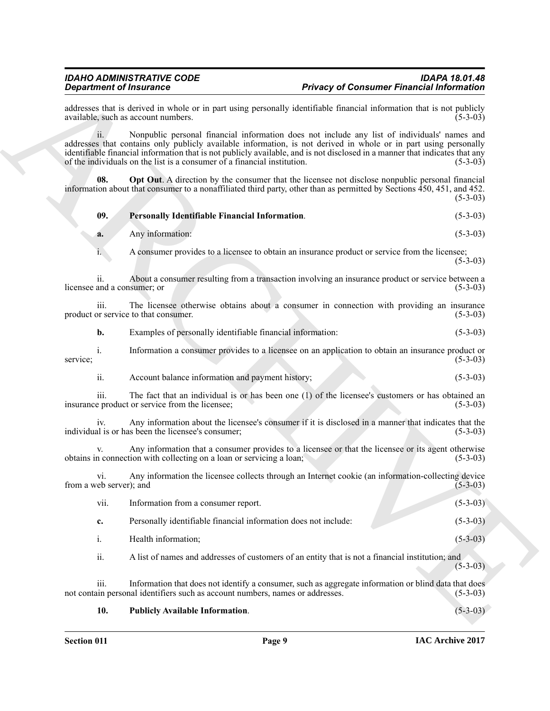<span id="page-8-2"></span><span id="page-8-1"></span><span id="page-8-0"></span>

| <b>Department of Insurance</b>                   |                                                                               | <b>Privacy of Consumer Financial Information</b>                                                                                                                                                                                                                                                                                                |            |
|--------------------------------------------------|-------------------------------------------------------------------------------|-------------------------------------------------------------------------------------------------------------------------------------------------------------------------------------------------------------------------------------------------------------------------------------------------------------------------------------------------|------------|
|                                                  | available, such as account numbers.                                           | addresses that is derived in whole or in part using personally identifiable financial information that is not publicly                                                                                                                                                                                                                          | $(5-3-03)$ |
| 11.                                              | of the individuals on the list is a consumer of a financial institution.      | Nonpublic personal financial information does not include any list of individuals' names and<br>addresses that contains only publicly available information, is not derived in whole or in part using personally<br>identifiable financial information that is not publicly available, and is not disclosed in a manner that indicates that any | $(5-3-03)$ |
| 08.                                              |                                                                               | Opt Out. A direction by the consumer that the licensee not disclose nonpublic personal financial<br>information about that consumer to a nonaffiliated third party, other than as permitted by Sections 450, 451, and 452.                                                                                                                      | $(5-3-03)$ |
| 09.                                              | Personally Identifiable Financial Information.                                |                                                                                                                                                                                                                                                                                                                                                 | $(5-3-03)$ |
| a.                                               | Any information:                                                              |                                                                                                                                                                                                                                                                                                                                                 | $(5-3-03)$ |
| 1.                                               |                                                                               | A consumer provides to a licensee to obtain an insurance product or service from the licensee;                                                                                                                                                                                                                                                  | $(5-3-03)$ |
| $\overline{11}$ .<br>licensee and a consumer; or |                                                                               | About a consumer resulting from a transaction involving an insurance product or service between a                                                                                                                                                                                                                                               | $(5-3-03)$ |
| iii.                                             | product or service to that consumer.                                          | The licensee otherwise obtains about a consumer in connection with providing an insurance                                                                                                                                                                                                                                                       | $(5-3-03)$ |
| b.                                               | Examples of personally identifiable financial information:                    |                                                                                                                                                                                                                                                                                                                                                 | $(5-3-03)$ |
| $\mathbf{1}$ .<br>service;                       |                                                                               | Information a consumer provides to a licensee on an application to obtain an insurance product or                                                                                                                                                                                                                                               | $(5-3-03)$ |
| ii.                                              | Account balance information and payment history;                              |                                                                                                                                                                                                                                                                                                                                                 | $(5-3-03)$ |
| 111.                                             | insurance product or service from the licensee;                               | The fact that an individual is or has been one $(1)$ of the licensee's customers or has obtained an                                                                                                                                                                                                                                             | $(5-3-03)$ |
| 1V.                                              | individual is or has been the licensee's consumer;                            | Any information about the licensee's consumer if it is disclosed in a manner that indicates that the                                                                                                                                                                                                                                            | $(5-3-03)$ |
|                                                  | obtains in connection with collecting on a loan or servicing a loan;          | Any information that a consumer provides to a licensee or that the licensee or its agent otherwise                                                                                                                                                                                                                                              | $(5-3-03)$ |
| V1.<br>from a web server); and                   |                                                                               | Any information the licensee collects through an Internet cookie (an information-collecting device                                                                                                                                                                                                                                              | $(5-3-03)$ |
| vii.                                             | Information from a consumer report.                                           |                                                                                                                                                                                                                                                                                                                                                 | $(5-3-03)$ |
| c.                                               | Personally identifiable financial information does not include:               |                                                                                                                                                                                                                                                                                                                                                 | $(5-3-03)$ |
| $\mathbf{i}$ .                                   | Health information;                                                           |                                                                                                                                                                                                                                                                                                                                                 | $(5-3-03)$ |
| ii.                                              |                                                                               | A list of names and addresses of customers of an entity that is not a financial institution; and                                                                                                                                                                                                                                                | $(5-3-03)$ |
| iii.                                             | not contain personal identifiers such as account numbers, names or addresses. | Information that does not identify a consumer, such as aggregate information or blind data that does                                                                                                                                                                                                                                            | $(5-3-03)$ |
| 10.                                              | <b>Publicly Available Information.</b>                                        |                                                                                                                                                                                                                                                                                                                                                 | $(5-3-03)$ |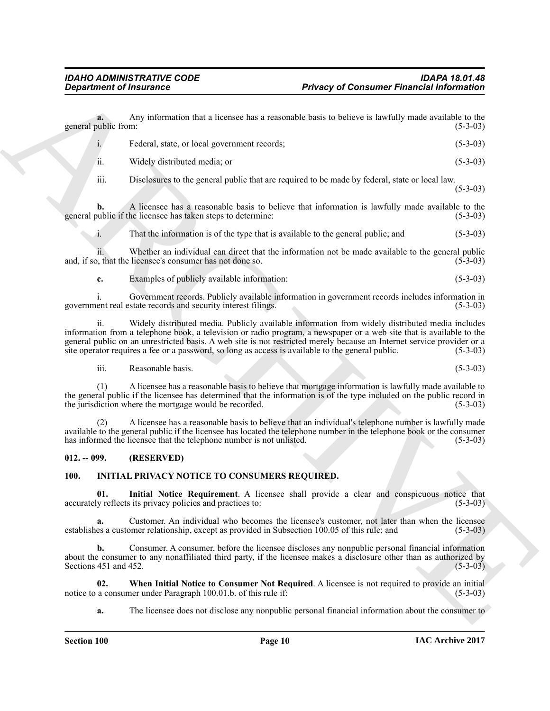|                             | <b>Department of Insurance</b>                                       | <b>Privacy of Consumer Financial Information</b>                                                                                                                                                                                                                                                                                                                                                                                                       |            |
|-----------------------------|----------------------------------------------------------------------|--------------------------------------------------------------------------------------------------------------------------------------------------------------------------------------------------------------------------------------------------------------------------------------------------------------------------------------------------------------------------------------------------------------------------------------------------------|------------|
| a.<br>general public from:  |                                                                      | Any information that a licensee has a reasonable basis to believe is lawfully made available to the                                                                                                                                                                                                                                                                                                                                                    | $(5-3-03)$ |
| $i$ .                       | Federal, state, or local government records;                         |                                                                                                                                                                                                                                                                                                                                                                                                                                                        | $(5-3-03)$ |
| ii.                         | Widely distributed media; or                                         |                                                                                                                                                                                                                                                                                                                                                                                                                                                        | $(5-3-03)$ |
| iii.                        |                                                                      | Disclosures to the general public that are required to be made by federal, state or local law.                                                                                                                                                                                                                                                                                                                                                         | $(5-3-03)$ |
| b.                          | general public if the licensee has taken steps to determine:         | A licensee has a reasonable basis to believe that information is lawfully made available to the                                                                                                                                                                                                                                                                                                                                                        | $(5-3-03)$ |
| 1.                          |                                                                      | That the information is of the type that is available to the general public; and                                                                                                                                                                                                                                                                                                                                                                       | $(5-3-03)$ |
|                             | and, if so, that the licensee's consumer has not done so.            | Whether an individual can direct that the information not be made available to the general public                                                                                                                                                                                                                                                                                                                                                      | $(5-3-03)$ |
| c.                          | Examples of publicly available information:                          |                                                                                                                                                                                                                                                                                                                                                                                                                                                        | $(5-3-03)$ |
|                             | government real estate records and security interest filings.        | Government records. Publicly available information in government records includes information in                                                                                                                                                                                                                                                                                                                                                       | $(5-3-03)$ |
| $\overline{\mathbf{u}}$ .   |                                                                      | Widely distributed media. Publicly available information from widely distributed media includes<br>information from a telephone book, a television or radio program, a newspaper or a web site that is available to the<br>general public on an unrestricted basis. A web site is not restricted merely because an Internet service provider or a<br>site operator requires a fee or a password, so long as access is available to the general public. | $(5-3-03)$ |
| iii.                        | Reasonable basis.                                                    |                                                                                                                                                                                                                                                                                                                                                                                                                                                        | $(5-3-03)$ |
| (1)                         | the jurisdiction where the mortgage would be recorded.               | A licensee has a reasonable basis to believe that mortgage information is lawfully made available to<br>the general public if the licensee has determined that the information is of the type included on the public record in                                                                                                                                                                                                                         | $(5-3-03)$ |
|                             | has informed the licensee that the telephone number is not unlisted. | A licensee has a reasonable basis to believe that an individual's telephone number is lawfully made<br>available to the general public if the licensee has located the telephone number in the telephone book or the consumer                                                                                                                                                                                                                          | $(5-3-03)$ |
| $012. - 099.$               | (RESERVED)                                                           |                                                                                                                                                                                                                                                                                                                                                                                                                                                        |            |
| <b>100.</b>                 | <b>INITIAL PRIVACY NOTICE TO CONSUMERS REQUIRED.</b>                 |                                                                                                                                                                                                                                                                                                                                                                                                                                                        |            |
| 01.                         | accurately reflects its privacy policies and practices to:           | Initial Notice Requirement. A licensee shall provide a clear and conspicuous notice that                                                                                                                                                                                                                                                                                                                                                               | $(5-3-03)$ |
| a.                          |                                                                      | Customer. An individual who becomes the licensee's customer, not later than when the licensee<br>establishes a customer relationship, except as provided in Subsection 100.05 of this rule; and                                                                                                                                                                                                                                                        | $(5-3-03)$ |
| b.<br>Sections 451 and 452. |                                                                      | Consumer. A consumer, before the licensee discloses any nonpublic personal financial information<br>about the consumer to any nonaffiliated third party, if the licensee makes a disclosure other than as authorized by                                                                                                                                                                                                                                | $(5-3-03)$ |
| 02.                         | notice to a consumer under Paragraph 100.01.b. of this rule if:      | When Initial Notice to Consumer Not Required. A licensee is not required to provide an initial                                                                                                                                                                                                                                                                                                                                                         | $(5-3-03)$ |
| a.                          |                                                                      | The licensee does not disclose any nonpublic personal financial information about the consumer to                                                                                                                                                                                                                                                                                                                                                      |            |

### <span id="page-9-0"></span>**012. -- 099. (RESERVED)**

#### <span id="page-9-4"></span><span id="page-9-3"></span><span id="page-9-2"></span><span id="page-9-1"></span>**100. INITIAL PRIVACY NOTICE TO CONSUMERS REQUIRED.**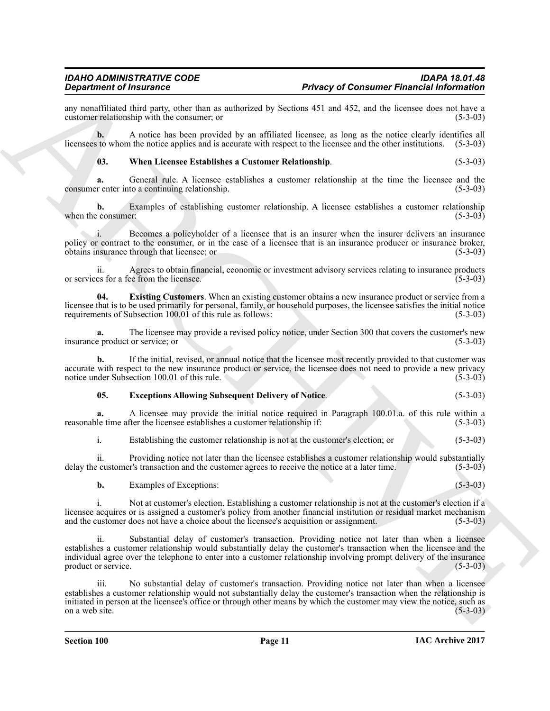any nonaffiliated third party, other than as authorized by Sections 451 and 452, and the licensee does not have a customer relationship with the consumer; or customer relationship with the consumer; or

**b.** A notice has been provided by an affiliated licensee, as long as the notice clearly identifies all licensees to whom the notice applies and is accurate with respect to the licensee and the other institutions. (5-3-03)

<span id="page-10-2"></span>**03. When Licensee Establishes a Customer Relationship**. (5-3-03)

**a.** General rule. A licensee establishes a customer relationship at the time the licensee and the consumer enter into a continuing relationship. (5-3-03)

**b.** Examples of establishing customer relationship. A licensee establishes a customer relationship consumer: (5-3-03) when the consumer:

i. Becomes a policyholder of a licensee that is an insurer when the insurer delivers an insurance policy or contract to the consumer, or in the case of a licensee that is an insurance producer or insurance broker, obtains insurance through that licensee; or (5-3-03) obtains insurance through that licensee; or

ii. Agrees to obtain financial, economic or investment advisory services relating to insurance products or services for a fee from the licensee.

<span id="page-10-1"></span>**04. Existing Customers**. When an existing customer obtains a new insurance product or service from a licensee that is to be used primarily for personal, family, or household purposes, the licensee satisfies the initial notice requirements of Subsection 100.01 of this rule as follows: (5-3-03)

**a.** The licensee may provide a revised policy notice, under Section 300 that covers the customer's new product or service; or (5-3-03) insurance product or service; or

**b.** If the initial, revised, or annual notice that the licensee most recently provided to that customer was accurate with respect to the new insurance product or service, the licensee does not need to provide a new privacy<br>notice under Subsection 100.01 of this rule. (5-3-03) notice under Subsection 100.01 of this rule.

#### <span id="page-10-0"></span>**05. Exceptions Allowing Subsequent Delivery of Notice**. (5-3-03)

**a.** A licensee may provide the initial notice required in Paragraph 100.01.a. of this rule within a le time after the licensee establishes a customer relationship if: (5-3-03) reasonable time after the licensee establishes a customer relationship if:

i. Establishing the customer relationship is not at the customer's election; or (5-3-03)

ii. Providing notice not later than the licensee establishes a customer relationship would substantially recustomer's transaction and the customer agrees to receive the notice at a later time. (5-3-03) delay the customer's transaction and the customer agrees to receive the notice at a later time.

**b.** Examples of Exceptions: (5-3-03)

i. Not at customer's election. Establishing a customer relationship is not at the customer's election if a licensee acquires or is assigned a customer's policy from another financial institution or residual market mechanism<br>and the customer does not have a choice about the licensee's acquisition or assignment. (5-3-03) and the customer does not have a choice about the licensee's acquisition or assignment.

**Experimental Theorems** is the constraint of the state of the state of the state of the state of the state of the state of the state of the state of the state of the state of the state of the state of the state of the sta ii. Substantial delay of customer's transaction. Providing notice not later than when a licensee establishes a customer relationship would substantially delay the customer's transaction when the licensee and the individual agree over the telephone to enter into a customer relationship involving prompt delivery of the insurance product or service. (5-3-03)

iii. No substantial delay of customer's transaction. Providing notice not later than when a licensee establishes a customer relationship would not substantially delay the customer's transaction when the relationship is initiated in person at the licensee's office or through other means by which the customer may view the notice, such as on a web site. (5-3-03) on a web site.  $(5-3-03)$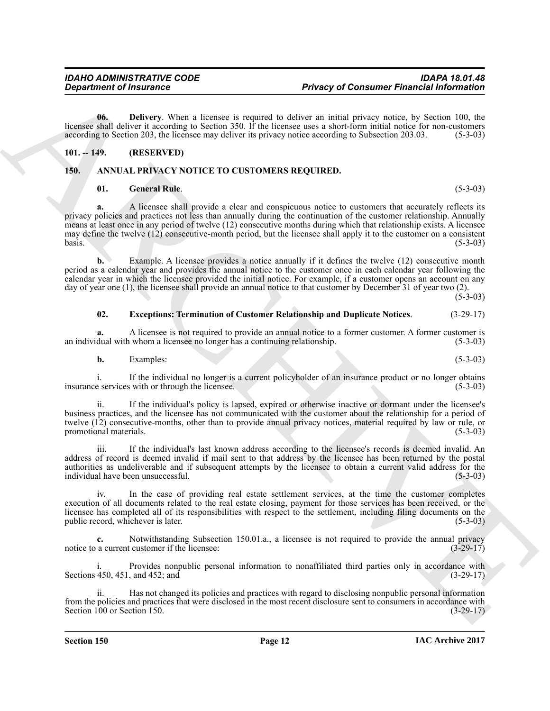<span id="page-11-5"></span>**06. Delivery**. When a licensee is required to deliver an initial privacy notice, by Section 100, the licensee shall deliver it according to Section 350. If the licensee uses a short-form initial notice for non-customers according to Section 203, the licensee may deliver its privacy notice according to Subsection 203.03. (5-3-03)

### <span id="page-11-0"></span>**101. -- 149. (RESERVED)**

### <span id="page-11-1"></span>**150. ANNUAL PRIVACY NOTICE TO CUSTOMERS REQUIRED.**

#### <span id="page-11-4"></span><span id="page-11-2"></span>**01. General Rule**. (5-3-03)

**Department of Insurance**<br> **Prior of Development of Consumer Franchistin functions**<br>
Leave a political prior in the same of the hard manusian state in the same of the same of the same of the same of the same of the same o **a.** A licensee shall provide a clear and conspicuous notice to customers that accurately reflects its privacy policies and practices not less than annually during the continuation of the customer relationship. Annually means at least once in any period of twelve (12) consecutive months during which that relationship exists. A licensee may define the twelve (12) consecutive-month period, but the licensee shall apply it to the customer on a consistent basis. (5-3-03)  $basis.$  (5-3-03)

**b.** Example. A licensee provides a notice annually if it defines the twelve (12) consecutive month period as a calendar year and provides the annual notice to the customer once in each calendar year following the calendar year in which the licensee provided the initial notice. For example, if a customer opens an account on any day of year one (1), the licensee shall provide an annual notice to that customer by December 31 of year two (2).

 $(5-3-03)$ 

#### <span id="page-11-3"></span>**02. Exceptions: Termination of Customer Relationship and Duplicate Notices**. (3-29-17)

**a.** A licensee is not required to provide an annual notice to a former customer. A former customer is dual with whom a licensee no longer has a continuing relationship. (5-3-03) an individual with whom a licensee no longer has a continuing relationship.

**b.** Examples: (5-3-03)

i. If the individual no longer is a current policyholder of an insurance product or no longer obtains e services with or through the licensee. (5-3-03) insurance services with or through the licensee.

ii. If the individual's policy is lapsed, expired or otherwise inactive or dormant under the licensee's business practices, and the licensee has not communicated with the customer about the relationship for a period of twelve (12) consecutive-months, other than to provide annual privacy notices, material required by law or rule, or<br>(5-3-03) promotional materials.

iii. If the individual's last known address according to the licensee's records is deemed invalid. An address of record is deemed invalid if mail sent to that address by the licensee has been returned by the postal authorities as undeliverable and if subsequent attempts by the licensee to obtain a current valid address for the individual have been unsuccessful. (5-3-03)

iv. In the case of providing real estate settlement services, at the time the customer completes execution of all documents related to the real estate closing, payment for those services has been received, or the licensee has completed all of its responsibilities with respect to the settlement, including filing documents on the public record, whichever is later. (5-3-03) public record, whichever is later.

**c.** Notwithstanding Subsection 150.01.a., a licensee is not required to provide the annual privacy a current customer if the licensee: notice to a current customer if the licensee:

Provides nonpublic personal information to nonaffiliated third parties only in accordance with and 452; and  $(3-29-17)$ Sections 450, 451, and 452; and

ii. Has not changed its policies and practices with regard to disclosing nonpublic personal information from the policies and practices that were disclosed in the most recent disclosure sent to consumers in accordance with<br>Section 100 or Section 150. (3-29-17) Section 100 or Section 150.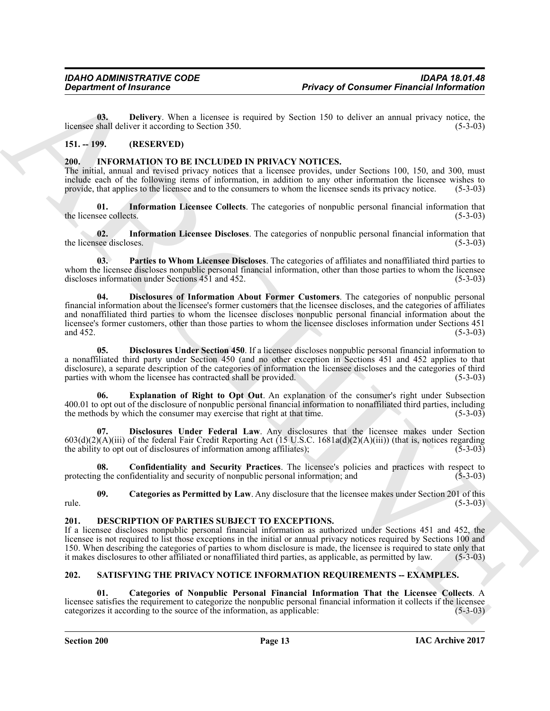<span id="page-12-4"></span>**03. Delivery**. When a licensee is required by Section 150 to deliver an annual privacy notice, the shall deliver it according to Section 350. (5-3-03) licensee shall deliver it according to Section 350.

### <span id="page-12-0"></span>**151. -- 199. (RESERVED)**

#### <span id="page-12-6"></span><span id="page-12-1"></span>**200. INFORMATION TO BE INCLUDED IN PRIVACY NOTICES.**

The initial, annual and revised privacy notices that a licensee provides, under Sections 100, 150, and 300, must include each of the following items of information, in addition to any other information the licensee wishes to provide, that applies to the licensee and to the consumers to whom the licensee sends its privacy notice. (5-3-03)

<span id="page-12-13"></span>**01.** Information Licensee Collects. The categories of nonpublic personal financial information that see collects. (5-3-03) the licensee collects.

<span id="page-12-14"></span>**02. Information Licensee Discloses**. The categories of nonpublic personal financial information that the licensee discloses. (5-3-03)

<span id="page-12-15"></span><span id="page-12-9"></span>**03. Parties to Whom Licensee Discloses**. The categories of affiliates and nonaffiliated third parties to whom the licensee discloses nonpublic personal financial information, other than those parties to whom the licensee discloses information under Sections 451 and 452. discloses information under Sections  $451$  and  $452$ .

**Department of Insurance**<br> **Privacy of Consumer Financial information**<br>
10. Deperts the lactuate in the state of the state of the state of the state of the state of the state of the state of the state of the state of the **04. Disclosures of Information About Former Customers**. The categories of nonpublic personal financial information about the licensee's former customers that the licensee discloses, and the categories of affiliates and nonaffiliated third parties to whom the licensee discloses nonpublic personal financial information about the licensee's former customers, other than those parties to whom the licensee discloses information under Sections 451 and 452. and  $452.$  (5-3-03)

<span id="page-12-11"></span>**05. Disclosures Under Section 450**. If a licensee discloses nonpublic personal financial information to a nonaffiliated third party under Section 450 (and no other exception in Sections 451 and 452 applies to that disclosure), a separate description of the categories of information the licensee discloses and the categories of third parties with whom the licensee has contracted shall be provided. (5-3-03) parties with whom the licensee has contracted shall be provided.

<span id="page-12-12"></span>**Explanation of Right to Opt Out.** An explanation of the consumer's right under Subsection 400.01 to opt out of the disclosure of nonpublic personal financial information to nonaffiliated third parties, including the methods by which the consumer may exercise that right at that time. (5-3-03) the methods by which the consumer may exercise that right at that time.

<span id="page-12-10"></span>**07. Disclosures Under Federal Law**. Any disclosures that the licensee makes under Section 603(d)(2)(A)(iii) of the federal Fair Credit Reporting Act (15 U.S.C. 1681a(d)(2)(A)(iii)) (that is, notices regarding the ability to opt out of disclosures of information among affiliates); (5-3-03)

<span id="page-12-8"></span>**08. Confidentiality and Security Practices**. The licensee's policies and practices with respect to protecting the confidentiality and security of nonpublic personal information; and (5-3-03)

<span id="page-12-7"></span>**09.** Categories as Permitted by Law. Any disclosure that the licensee makes under Section 201 of this (5-3-03)  $rule.$  (5-3-03)

#### <span id="page-12-5"></span><span id="page-12-2"></span>**201. DESCRIPTION OF PARTIES SUBJECT TO EXCEPTIONS.**

If a licensee discloses nonpublic personal financial information as authorized under Sections 451 and 452, the licensee is not required to list those exceptions in the initial or annual privacy notices required by Sections 100 and 150. When describing the categories of parties to whom disclosure is made, the licensee is required to state only that it makes disclosures to other affiliated or nonaffiliated third parties, as applicable, as permitted by it makes disclosures to other affiliated or nonaffiliated third parties, as applicable, as permitted by law.

### <span id="page-12-16"></span><span id="page-12-3"></span>**202. SATISFYING THE PRIVACY NOTICE INFORMATION REQUIREMENTS -- EXAMPLES.**

<span id="page-12-17"></span>**01. Categories of Nonpublic Personal Financial Information That the Licensee Collects**. A licensee satisfies the requirement to categorize the nonpublic personal financial information it collects if the licensee categorizes it according to the source of the information, as applicable: (5-3-03) categorizes it according to the source of the information, as applicable: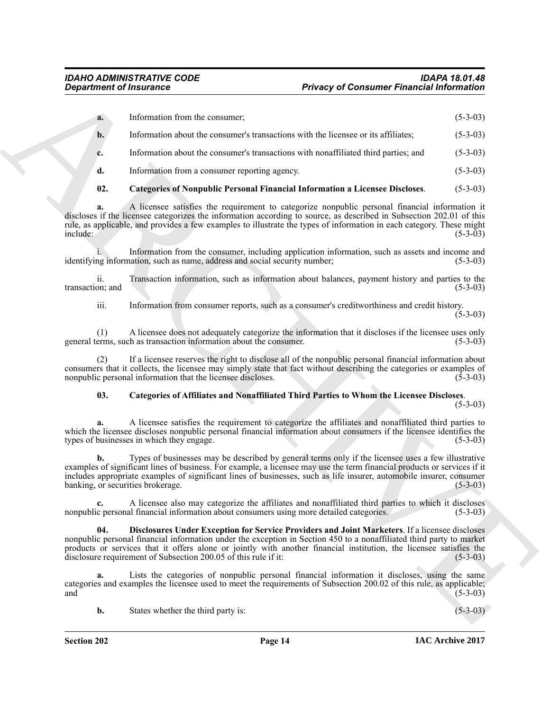<span id="page-13-1"></span>

|                         | <b>Department of Insurance</b>                                                                                                                                                                                                                                                                                                                                                                                   | <b>Privacy of Consumer Financial Information</b> |            |
|-------------------------|------------------------------------------------------------------------------------------------------------------------------------------------------------------------------------------------------------------------------------------------------------------------------------------------------------------------------------------------------------------------------------------------------------------|--------------------------------------------------|------------|
| a.                      | Information from the consumer;                                                                                                                                                                                                                                                                                                                                                                                   |                                                  | $(5-3-03)$ |
| b.                      | Information about the consumer's transactions with the licensee or its affiliates;                                                                                                                                                                                                                                                                                                                               |                                                  | $(5-3-03)$ |
| c.                      | Information about the consumer's transactions with nonaffiliated third parties; and                                                                                                                                                                                                                                                                                                                              |                                                  | $(5-3-03)$ |
| d.                      | Information from a consumer reporting agency.                                                                                                                                                                                                                                                                                                                                                                    |                                                  | $(5-3-03)$ |
| 02.                     | Categories of Nonpublic Personal Financial Information a Licensee Discloses.                                                                                                                                                                                                                                                                                                                                     |                                                  | $(5-3-03)$ |
| a.<br>include:          | A licensee satisfies the requirement to categorize nonpublic personal financial information it<br>discloses if the licensee categorizes the information according to source, as described in Subsection 202.01 of this<br>rule, as applicable, and provides a few examples to illustrate the types of information in each category. These might                                                                  |                                                  | $(5-3-03)$ |
|                         | Information from the consumer, including application information, such as assets and income and<br>identifying information, such as name, address and social security number;                                                                                                                                                                                                                                    |                                                  | $(5-3-03)$ |
| ii.<br>transaction; and | Transaction information, such as information about balances, payment history and parties to the                                                                                                                                                                                                                                                                                                                  |                                                  | $(5-3-03)$ |
| iii.                    | Information from consumer reports, such as a consumer's creditworthiness and credit history.                                                                                                                                                                                                                                                                                                                     |                                                  | $(5-3-03)$ |
| (1)                     | A licensee does not adequately categorize the information that it discloses if the licensee uses only<br>general terms, such as transaction information about the consumer.                                                                                                                                                                                                                                      |                                                  | $(5-3-03)$ |
| (2)                     | If a licensee reserves the right to disclose all of the nonpublic personal financial information about<br>consumers that it collects, the licensee may simply state that fact without describing the categories or examples of<br>nonpublic personal information that the licensee discloses.                                                                                                                    |                                                  | $(5-3-03)$ |
| 03.                     | <b>Categories of Affiliates and Nonaffiliated Third Parties to Whom the Licensee Discloses.</b>                                                                                                                                                                                                                                                                                                                  |                                                  | $(5-3-03)$ |
| a.                      | A licensee satisfies the requirement to categorize the affiliates and nonaffiliated third parties to<br>which the licensee discloses nonpublic personal financial information about consumers if the licensee identifies the<br>types of businesses in which they engage.                                                                                                                                        |                                                  | $(5-3-03)$ |
| b.                      | Types of businesses may be described by general terms only if the licensee uses a few illustrative<br>examples of significant lines of business. For example, a licensee may use the term financial products or services if it<br>includes appropriate examples of significant lines of businesses, such as life insurer, automobile insurer, consumer<br>banking, or securities brokerage.                      |                                                  | $(5-3-03)$ |
| c.                      | A licensee also may categorize the affiliates and nonaffiliated third parties to which it discloses<br>nonpublic personal financial information about consumers using more detailed categories.                                                                                                                                                                                                                  |                                                  | $(5-3-03)$ |
| 04.                     | Disclosures Under Exception for Service Providers and Joint Marketers. If a licensee discloses<br>nonpublic personal financial information under the exception in Section 450 to a nonaffiliated third party to market<br>products or services that it offers alone or jointly with another financial institution, the licensee satisfies the<br>disclosure requirement of Subsection 200.05 of this rule if it: |                                                  | $(5-3-03)$ |
| a.<br>and               | Lists the categories of nonpublic personal financial information it discloses, using the same<br>categories and examples the licensee used to meet the requirements of Subsection 200.02 of this rule, as applicable;                                                                                                                                                                                            |                                                  | $(5-3-03)$ |
| b.                      | States whether the third party is:                                                                                                                                                                                                                                                                                                                                                                               |                                                  | $(5-3-03)$ |

### <span id="page-13-2"></span><span id="page-13-0"></span>**03. Categories of Affiliates and Nonaffiliated Third Parties to Whom the Licensee Discloses**.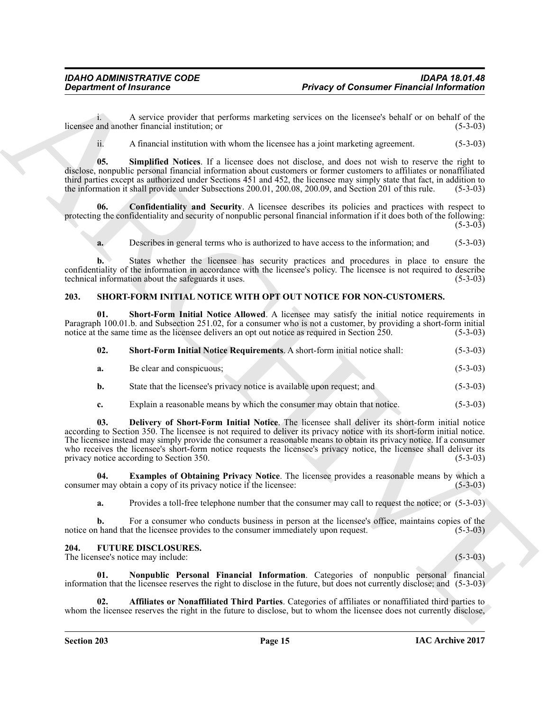i. A service provider that performs marketing services on the licensee's behalf or on behalf of the and another financial institution; or (5-3-03) licensee and another financial institution; or

<span id="page-14-6"></span>ii. A financial institution with whom the licensee has a joint marketing agreement. (5-3-03)

**05. Simplified Notices**. If a licensee does not disclose, and does not wish to reserve the right to disclose, nonpublic personal financial information about customers or former customers to affiliates or nonaffiliated third parties except as authorized under Sections 451 and 452, the licensee may simply state that fact, in addition to the information it shall provide under Subsections 200.01, 200.08, 200.09, and Section 201 of this rule. (5-3-03)

**06. Confidentiality and Security**. A licensee describes its policies and practices with respect to protecting the confidentiality and security of nonpublic personal financial information if it does both of the following:  $(5-3-03)$ 

<span id="page-14-5"></span>**a.** Describes in general terms who is authorized to have access to the information; and (5-3-03)

**b.** States whether the licensee has security practices and procedures in place to ensure the confidentiality of the information in accordance with the licensee's policy. The licensee is not required to describe technical information about the safeguards it uses. (5-3-03) technical information about the safeguards it uses.

#### <span id="page-14-7"></span><span id="page-14-0"></span>**203. SHORT-FORM INITIAL NOTICE WITH OPT OUT NOTICE FOR NON-CUSTOMERS.**

**01. Short-Form Initial Notice Allowed**. A licensee may satisfy the initial notice requirements in Paragraph 100.01.b. and Subsection 251.02, for a consumer who is not a customer, by providing a short-form initial notice at the same time as the licensee delivers an opt out notice as required in Section 250. (5-3-03) notice at the same time as the licensee delivers an opt out notice as required in Section 250.

<span id="page-14-11"></span><span id="page-14-10"></span>

| <b>Short-Form Initial Notice Requirements.</b> A short-form initial notice shall:<br>02. | $(5-3-03)$ |
|------------------------------------------------------------------------------------------|------------|
|------------------------------------------------------------------------------------------|------------|

| a. | Be clear and conspicuous; |  |  | $(5-3-03)$ |
|----|---------------------------|--|--|------------|
|----|---------------------------|--|--|------------|

- **b.** State that the licensee's privacy notice is available upon request; and  $(5-3-03)$
- <span id="page-14-8"></span>**c.** Explain a reasonable means by which the consumer may obtain that notice. (5-3-03)

**Department of financines**<br> **Privacy of Consumer Financial information**<br>
Assume the state in the state of the state of the state of the state of the state of the state of the state of the state of the state of the state o **03. Delivery of Short-Form Initial Notice**. The licensee shall deliver its short-form initial notice according to Section 350. The licensee is not required to deliver its privacy notice with its short-form initial notice. The licensee instead may simply provide the consumer a reasonable means to obtain its privacy notice. If a consumer who receives the licensee's short-form notice requests the licensee's privacy notice, the licensee shall deliver its privacy notice according to Section 350. (5-3-03) privacy notice according to Section 350.

**04. Examples of Obtaining Privacy Notice**. The licensee provides a reasonable means by which a consumer may obtain a copy of its privacy notice if the licensee: (5-3-03)

<span id="page-14-9"></span>**a.** Provides a toll-free telephone number that the consumer may call to request the notice; or (5-3-03)

**b.** For a consumer who conducts business in person at the licensee's office, maintains copies of the notice on hand that the licensee provides to the consumer immediately upon request. (5-3-03)

#### <span id="page-14-2"></span><span id="page-14-1"></span>**204. FUTURE DISCLOSURES.**

The licensee's notice may include: (5-3-03)

<span id="page-14-4"></span>**01. Nonpublic Personal Financial Information**. Categories of nonpublic personal financial information that the licensee reserves the right to disclose in the future, but does not currently disclose; and (5-3-03)

<span id="page-14-3"></span>**02. Affiliates or Nonaffiliated Third Parties**. Categories of affiliates or nonaffiliated third parties to whom the licensee reserves the right in the future to disclose, but to whom the licensee does not currently disclose,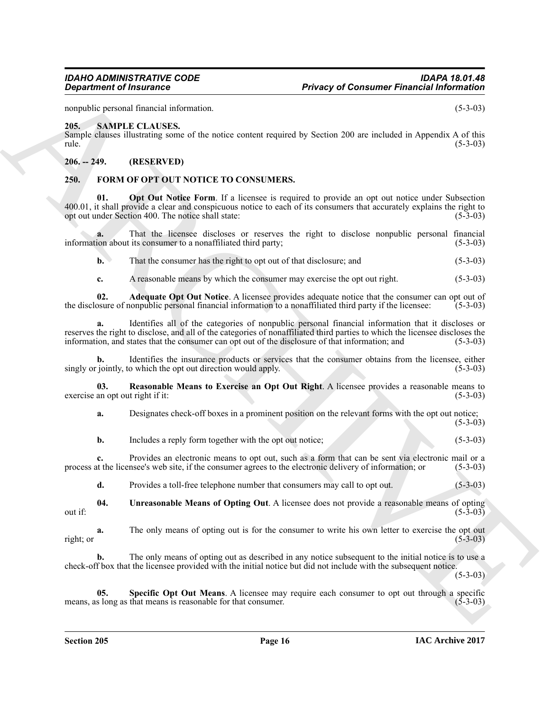nonpublic personal financial information. (5-3-03) (5-3-03)

#### <span id="page-15-0"></span>**205. SAMPLE CLAUSES.**

Sample clauses illustrating some of the notice content required by Section 200 are included in Appendix A of this rule.  $(5-3-03)$ 

#### <span id="page-15-1"></span>**206. -- 249. (RESERVED)**

#### <span id="page-15-5"></span><span id="page-15-3"></span><span id="page-15-2"></span>**250. FORM OF OPT OUT NOTICE TO CONSUMERS.**

**Department of Insurance Consumer Financial Metrics (2014)**<br>
ARCHIVE CONSULTER THE METRIC CONSULTER CONSULTER (2014)<br>
ARCHIVE CONSULTER THE METRIC CONSULTERS.<br>
ARCHIVE CONSULTER THE METRIC CONSULTERS.<br>
ARCHIVE CONSULTER T **01.** Opt Out Notice Form. If a licensee is required to provide an opt out notice under Subsection  $400.01$ , it shall provide a clear and conspicuous notice to each of its consumers that accurately explains the right to opt out under Section 400. The notice shall state:  $(5-3-03)$ opt out under Section 400. The notice shall state:

**a.** That the licensee discloses or reserves the right to disclose nonpublic personal financial ion about its consumer to a nonaffiliated third party; (5-3-03) information about its consumer to a nonaffiliated third party;

**b.** That the consumer has the right to opt out of that disclosure; and (5-3-03)

<span id="page-15-4"></span>**c.** A reasonable means by which the consumer may exercise the opt out right. (5-3-03)

**02. Adequate Opt Out Notice**. A licensee provides adequate notice that the consumer can opt out of osure of nonpublic personal financial information to a nonaffiliated third party if the licensee: (5-3-03) the disclosure of nonpublic personal financial information to a nonaffiliated third party if the licensee:

**a.** Identifies all of the categories of nonpublic personal financial information that it discloses or reserves the right to disclose, and all of the categories of nonaffiliated third parties to which the licensee discloses the information, and states that the consumer can opt out of the disclosure of that information; and information, and states that the consumer can opt out of the disclosure of that information; and

**b.** Identifies the insurance products or services that the consumer obtains from the licensee, either singly or jointly, to which the opt out direction would apply. (5-3-03) (5-3-03)

**03.** Reasonable Means to Exercise an Opt Out Right. A licensee provides a reasonable means to an opt out right if it: (5-3-03) exercise an opt out right if it:

<span id="page-15-6"></span>**a.** Designates check-off boxes in a prominent position on the relevant forms with the opt out notice;  $(5-3-03)$ 

**b.** Includes a reply form together with the opt out notice; (5-3-03)

**c.** Provides an electronic means to opt out, such as a form that can be sent via electronic mail or a at the licensee's web site, if the consumer agrees to the electronic delivery of information; or (5-3-03) process at the licensee's web site, if the consumer agrees to the electronic delivery of information; or

<span id="page-15-8"></span>**d.** Provides a toll-free telephone number that consumers may call to opt out. (5-3-03)

**04. Unreasonable Means of Opting Out**. A licensee does not provide a reasonable means of opting out if:  $(5-3-03)$ 

**a.** The only means of opting out is for the consumer to write his own letter to exercise the opt out right; or  $(5-3-03)$ 

**b.** The only means of opting out as described in any notice subsequent to the initial notice is to use a check-off box that the licensee provided with the initial notice but did not include with the subsequent notice.

 $(5-3-03)$ 

<span id="page-15-7"></span>**05.** Specific Opt Out Means. A licensee may require each consumer to opt out through a specific slong as that means is reasonable for that consumer. (5-3-03) means, as long as that means is reasonable for that consumer.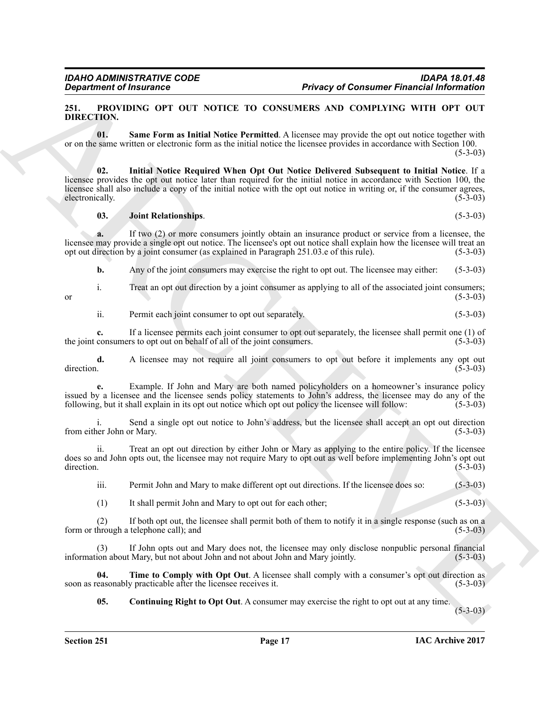#### <span id="page-16-1"></span><span id="page-16-0"></span>**251. PROVIDING OPT OUT NOTICE TO CONSUMERS AND COMPLYING WITH OPT OUT DIRECTION.**

<span id="page-16-5"></span>**01. Same Form as Initial Notice Permitted**. A licensee may provide the opt out notice together with or on the same written or electronic form as the initial notice the licensee provides in accordance with Section 100.

 $(5-3-03)$ 

**Example of Financial Consumer Example of Consumer Financial Information Diff. CTON UNION OF THE CONSULTER USE CONSULTER (SEE THE CONSULTER USE OF THE CONSULTER USE OF THE CONSULTER USE OF THE CONSULTER USE OF THE CONSULT 02. Initial Notice Required When Opt Out Notice Delivered Subsequent to Initial Notice**. If a licensee provides the opt out notice later than required for the initial notice in accordance with Section 100, the licensee shall also include a copy of the initial notice with the opt out notice in writing or, if the consumer agrees, electronically. (5-3-03) electronically.

#### <span id="page-16-4"></span><span id="page-16-3"></span>**03. Joint Relationships**. (5-3-03)

**a.** If two (2) or more consumers jointly obtain an insurance product or service from a licensee, the licensee may provide a single opt out notice. The licensee's opt out notice shall explain how the licensee will treat an opt out direction by a joint consumer (as explained in Paragraph 251.03.e of this rule). (5-3-03) opt out direction by a joint consumer (as explained in Paragraph 251.03.e of this rule).

**b.** Any of the joint consumers may exercise the right to opt out. The licensee may either: (5-3-03)

i. Treat an opt out direction by a joint consumer as applying to all of the associated joint consumers;

or  $(5-3-03)$ 

ii. Permit each joint consumer to opt out separately. (5-3-03)

**c.** If a licensee permits each joint consumer to opt out separately, the licensee shall permit one (1) of consumers to opt out on behalf of all of the joint consumers. (5-3-03) the joint consumers to opt out on behalf of all of the joint consumers.

**d.** A licensee may not require all joint consumers to opt out before it implements any opt out direction. (5-3-03)  $\text{direction.}$  (5-3-03)

**e.** Example. If John and Mary are both named policyholders on a homeowner's insurance policy issued by a licensee and the licensee sends policy statements to John's address, the licensee may do any of the following, but it shall explain in its opt out notice which opt out policy the licensee will follow: (5-3-03)

i. Send a single opt out notice to John's address, but the licensee shall accept an opt out direction from either John or Mary.

ii. Treat an opt out direction by either John or Mary as applying to the entire policy. If the licensee does so and John opts out, the licensee may not require Mary to opt out as well before implementing John's opt out direction.  $\text{direction.}$  (5-3-03)

iii. Permit John and Mary to make different opt out directions. If the licensee does so: (5-3-03)

(1) It shall permit John and Mary to opt out for each other; (5-3-03)

(2) If both opt out, the licensee shall permit both of them to notify it in a single response (such as on a form or through a telephone call); and (5-3-03)

(3) If John opts out and Mary does not, the licensee may only disclose nonpublic personal financial ion about Mary, but not about John and not about John and Mary jointly. (5-3-03) information about Mary, but not about John and not about John and Mary jointly.

**04.** Time to Comply with Opt Out. A licensee shall comply with a consumer's opt out direction as easonably practicable after the licensee receives it. (5-3-03) soon as reasonably practicable after the licensee receives it.

<span id="page-16-6"></span><span id="page-16-2"></span>**05. Continuing Right to Opt Out**. A consumer may exercise the right to opt out at any time.

(5-3-03)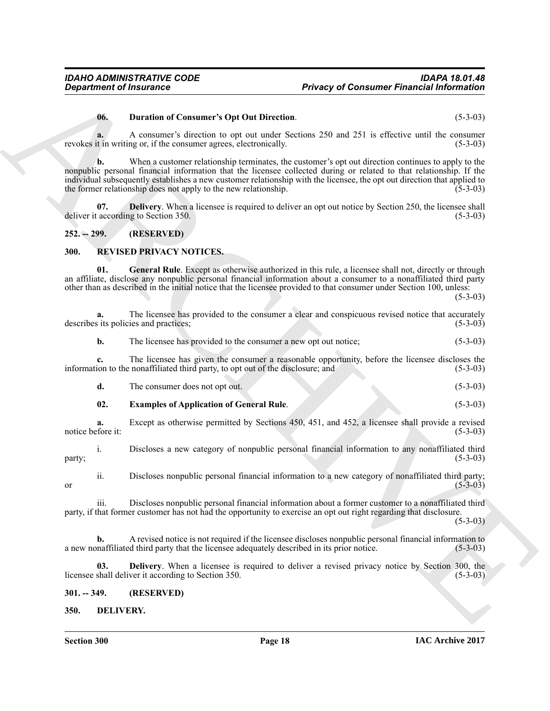#### <span id="page-17-6"></span>**06. Duration of Consumer's Opt Out Direction**. (5-3-03)

#### <span id="page-17-5"></span><span id="page-17-0"></span>**252. -- 299. (RESERVED)**

#### <span id="page-17-10"></span><span id="page-17-9"></span><span id="page-17-7"></span><span id="page-17-1"></span>**300. REVISED PRIVACY NOTICES.**

| <b>Department of Insurance</b> |                                                                                                                                                                                                                                                                                                                                                                                                                           | <b>Privacy of Consumer Financial Information</b> |  |
|--------------------------------|---------------------------------------------------------------------------------------------------------------------------------------------------------------------------------------------------------------------------------------------------------------------------------------------------------------------------------------------------------------------------------------------------------------------------|--------------------------------------------------|--|
| 06.                            | <b>Duration of Consumer's Opt Out Direction.</b>                                                                                                                                                                                                                                                                                                                                                                          | $(5-3-03)$                                       |  |
| a.                             | A consumer's direction to opt out under Sections 250 and 251 is effective until the consumer<br>revokes it in writing or, if the consumer agrees, electronically.                                                                                                                                                                                                                                                         | $(5-3-03)$                                       |  |
| $\mathbf{b}$ .                 | When a customer relationship terminates, the customer's opt out direction continues to apply to the<br>nonpublic personal financial information that the licensee collected during or related to that relationship. If the<br>individual subsequently establishes a new customer relationship with the licensee, the opt out direction that applied to<br>the former relationship does not apply to the new relationship. | $(5-3-03)$                                       |  |
| 07.                            | <b>Delivery.</b> When a licensee is required to deliver an opt out notice by Section 250, the licensee shall<br>deliver it according to Section 350.                                                                                                                                                                                                                                                                      | $(5-3-03)$                                       |  |
| $252. - 299.$                  | (RESERVED)                                                                                                                                                                                                                                                                                                                                                                                                                |                                                  |  |
| 300.                           | <b>REVISED PRIVACY NOTICES.</b>                                                                                                                                                                                                                                                                                                                                                                                           |                                                  |  |
| 01.                            | General Rule. Except as otherwise authorized in this rule, a licensee shall not, directly or through<br>an affiliate, disclose any nonpublic personal financial information about a consumer to a nonaffiliated third party<br>other than as described in the initial notice that the licensee provided to that consumer under Section 100, unless:                                                                       | $(5-3-03)$                                       |  |
| a.                             | The licensee has provided to the consumer a clear and conspicuous revised notice that accurately<br>describes its policies and practices;                                                                                                                                                                                                                                                                                 | $(5-3-03)$                                       |  |
| b.                             | The licensee has provided to the consumer a new opt out notice;                                                                                                                                                                                                                                                                                                                                                           | $(5-3-03)$                                       |  |
|                                | The licensee has given the consumer a reasonable opportunity, before the licensee discloses the<br>information to the nonaffiliated third party, to opt out of the disclosure; and                                                                                                                                                                                                                                        | $(5-3-03)$                                       |  |
| d.                             | The consumer does not opt out.                                                                                                                                                                                                                                                                                                                                                                                            | $(5-3-03)$                                       |  |
| 02.                            | <b>Examples of Application of General Rule.</b>                                                                                                                                                                                                                                                                                                                                                                           | $(5-3-03)$                                       |  |
| a.<br>notice before it:        | Except as otherwise permitted by Sections 450, 451, and 452, a licensee shall provide a revised                                                                                                                                                                                                                                                                                                                           | $(5-3-03)$                                       |  |
| 1.<br>party;                   | Discloses a new category of nonpublic personal financial information to any nonaffiliated third                                                                                                                                                                                                                                                                                                                           | $(5-3-03)$                                       |  |
| ii.<br>or                      | Discloses nonpublic personal financial information to a new category of nonaffiliated third party;                                                                                                                                                                                                                                                                                                                        | $(5 - 3 - 03)$                                   |  |
| iii.                           | Discloses nonpublic personal financial information about a former customer to a nonaffiliated third<br>party, if that former customer has not had the opportunity to exercise an opt out right regarding that disclosure.                                                                                                                                                                                                 | $(5-3-03)$                                       |  |
| b.                             | A revised notice is not required if the licensee discloses nonpublic personal financial information to<br>a new nonaffiliated third party that the licensee adequately described in its prior notice.                                                                                                                                                                                                                     | $(5-3-03)$                                       |  |
| 03.                            | <b>Delivery.</b> When a licensee is required to deliver a revised privacy notice by Section 300, the<br>licensee shall deliver it according to Section 350.                                                                                                                                                                                                                                                               | $(5-3-03)$                                       |  |
|                                |                                                                                                                                                                                                                                                                                                                                                                                                                           |                                                  |  |
| $301. - 349.$                  | (RESERVED)                                                                                                                                                                                                                                                                                                                                                                                                                |                                                  |  |

#### <span id="page-17-8"></span><span id="page-17-2"></span>**301. -- 349. (RESERVED)**

#### <span id="page-17-4"></span><span id="page-17-3"></span>**350. DELIVERY.**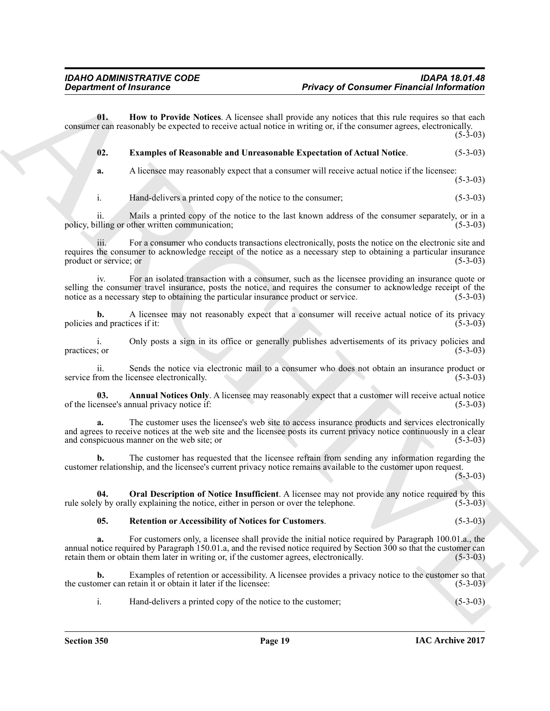**01. How to Provide Notices**. A licensee shall provide any notices that this rule requires so that each consumer can reasonably be expected to receive actual notice in writing or, if the consumer agrees, electronically.

 $(5-3-03)$ 

<span id="page-18-2"></span><span id="page-18-1"></span>**02. Examples of Reasonable and Unreasonable Expectation of Actual Notice**. (5-3-03)

**a.** A licensee may reasonably expect that a consumer will receive actual notice if the licensee:

 $(5-3-03)$ 

i. Hand-delivers a printed copy of the notice to the consumer; (5-3-03)

ii. Mails a printed copy of the notice to the last known address of the consumer separately, or in a policy, billing or other written communication;

**Department of Insurance Consumer Photograp Consumer Financial Information<br>
Unit Department of Insurance System Space Consumer will be the consumer will be the subjectively response to the consumer will be easily as the s** iii. For a consumer who conducts transactions electronically, posts the notice on the electronic site and requires the consumer to acknowledge receipt of the notice as a necessary step to obtaining a particular insurance<br>product or service; or (5-3-03) product or service; or

iv. For an isolated transaction with a consumer, such as the licensee providing an insurance quote or selling the consumer travel insurance, posts the notice, and requires the consumer to acknowledge receipt of the notice as a necessary step to obtaining the particular insurance product or service. (5-3-03) notice as a necessary step to obtaining the particular insurance product or service.

**b.** A licensee may not reasonably expect that a consumer will receive actual notice of its privacy policies and practices if it: (5-3-03)

i. Only posts a sign in its office or generally publishes advertisements of its privacy policies and practices; or (5-3-03)  $practices;$  or  $(5-3-03)$ 

ii. Sends the notice via electronic mail to a consumer who does not obtain an insurance product or from the licensee electronically. (5-3-03) service from the licensee electronically.

<span id="page-18-0"></span>**03. Annual Notices Only**. A licensee may reasonably expect that a customer will receive actual notice of the licensee's annual privacy notice if: (5-3-03)

**a.** The customer uses the licensee's web site to access insurance products and services electronically and agrees to receive notices at the web site and the licensee posts its current privacy notice continuously in a clear and conspicuous manner on the web site; or and conspicuous manner on the web site; or

**b.** The customer has requested that the licensee refrain from sending any information regarding the customer relationship, and the licensee's current privacy notice remains available to the customer upon request.

 $(5-3-03)$ 

**04. Oral Description of Notice Insufficient**. A licensee may not provide any notice required by this ly by orally explaining the notice, either in person or over the telephone. (5-3-03) rule solely by orally explaining the notice, either in person or over the telephone.

#### <span id="page-18-4"></span><span id="page-18-3"></span>**05. Retention or Accessibility of Notices for Customers**. (5-3-03)

**a.** For customers only, a licensee shall provide the initial notice required by Paragraph 100.01.a., the annual notice required by Paragraph 150.01.a, and the revised notice required by Section 300 so that the customer can retain them or obtain them later in writing or, if the customer agrees, electronically. (5-3-03) retain them or obtain them later in writing or, if the customer agrees, electronically.

**b.** Examples of retention or accessibility. A licensee provides a privacy notice to the customer so that the customer can retain it or obtain it later if the licensee: (5-3-03)

i. Hand-delivers a printed copy of the notice to the customer; (5-3-03)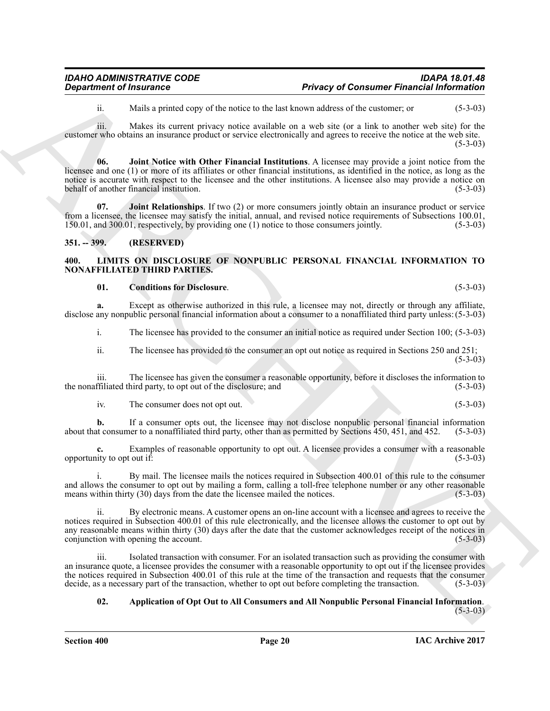<span id="page-19-2"></span>ii. Mails a printed copy of the notice to the last known address of the customer; or (5-3-03)

iii. Makes its current privacy notice available on a web site (or a link to another web site) for the customer who obtains an insurance product or service electronically and agrees to receive the notice at the web site.  $(5-3-03)$ 

**06. Joint Notice with Other Financial Institutions**. A licensee may provide a joint notice from the licensee and one (1) or more of its affiliates or other financial institutions, as identified in the notice, as long as the notice is accurate with respect to the licensee and the other institutions. A licensee also may provide a notice on behalf of another financial institution. (5-3-03)

<span id="page-19-3"></span>**07. Joint Relationships**. If two (2) or more consumers jointly obtain an insurance product or service from a licensee, the licensee may satisfy the initial, annual, and revised notice requirements of Subsections 100.01, 150.01, and 300.01, respectively, by providing one (1) notice to those consumers jointly. (5-3-03) 150.01, and 300.01, respectively, by providing one (1) notice to those consumers jointly.

#### <span id="page-19-0"></span>**351. -- 399. (RESERVED)**

#### <span id="page-19-4"></span><span id="page-19-1"></span>**400. LIMITS ON DISCLOSURE OF NONPUBLIC PERSONAL FINANCIAL INFORMATION TO NONAFFILIATED THIRD PARTIES.**

#### <span id="page-19-6"></span>**01. Conditions for Disclosure**. (5-3-03)

**a.** Except as otherwise authorized in this rule, a licensee may not, directly or through any affiliate, disclose any nonpublic personal financial information about a consumer to a nonaffiliated third party unless: (5-3-03)

i. The licensee has provided to the consumer an initial notice as required under Section 100; (5-3-03)

ii. The licensee has provided to the consumer an opt out notice as required in Sections 250 and 251;  $(5-3-03)$ 

iii. The licensee has given the consumer a reasonable opportunity, before it discloses the information to the nonaffiliated third party, to opt out of the disclosure; and

iv. The consumer does not opt out. (5-3-03)

**b.** If a consumer opts out, the licensee may not disclose nonpublic personal financial information about that consumer to a nonaffiliated third party, other than as permitted by Sections 450, 451, and 452. (5-3-03)

Examples of reasonable opportunity to opt out. A licensee provides a consumer with a reasonable out if: (5-3-03) opportunity to opt out  $if.$ 

i. By mail. The licensee mails the notices required in Subsection 400.01 of this rule to the consumer and allows the consumer to opt out by mailing a form, calling a toll-free telephone number or any other reasonable means within thirty (30) days from the date the licensee mailed the notices. (5-3-03) means within thirty (30) days from the date the licensee mailed the notices.

**Department of Insurance Consumer Photograp Consumer Photograp Consumer Photograp Information<br>
In basis a probably to the basis term in the statement of the statement of the statement of the statement of the statement of** ii. By electronic means. A customer opens an on-line account with a licensee and agrees to receive the notices required in Subsection 400.01 of this rule electronically, and the licensee allows the customer to opt out by any reasonable means within thirty (30) days after the date that the customer acknowledges receipt of the notices in conjunction with opening the account. (5-3-03) conjunction with opening the account.

iii. Isolated transaction with consumer. For an isolated transaction such as providing the consumer with an insurance quote, a licensee provides the consumer with a reasonable opportunity to opt out if the licensee provides the notices required in Subsection 400.01 of this rule at the time of the transaction and requests that the consumer decide, as a necessary part of the transaction, whether to opt out before completing the transaction. (5decide, as a necessary part of the transaction, whether to opt out before completing the transaction.

## <span id="page-19-5"></span>**02. Application of Opt Out to All Consumers and All Nonpublic Personal Financial Information**. (5-3-03)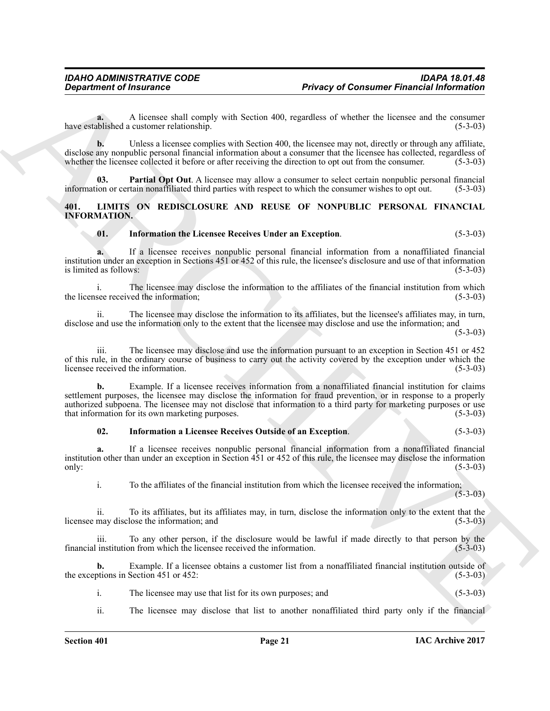**a.** A licensee shall comply with Section 400, regardless of whether the licensee and the consumer relationship. (5-3-03) have established a customer relationship.

**b.** Unless a licensee complies with Section 400, the licensee may not, directly or through any affiliate, disclose any nonpublic personal financial information about a consumer that the licensee has collected, regardless of whether the licensee collected it before or after receiving the direction to opt out from the consumer. whether the licensee collected it before or after receiving the direction to opt out from the consumer.

<span id="page-20-1"></span>**03. Partial Opt Out**. A licensee may allow a consumer to select certain nonpublic personal financial information or certain nonaffiliated third parties with respect to which the consumer wishes to opt out. (5-3-03)

#### <span id="page-20-2"></span><span id="page-20-0"></span>**401. LIMITS ON REDISCLOSURE AND REUSE OF NONPUBLIC PERSONAL FINANCIAL INFORMATION.**

#### <span id="page-20-4"></span>**01. Information the Licensee Receives Under an Exception**. (5-3-03)

**a.** If a licensee receives nonpublic personal financial information from a nonaffiliated financial institution under an exception in Sections 451 or 452 of this rule, the licensee's disclosure and use of that information is limited as follows: (5-3-03)

i. The licensee may disclose the information to the affiliates of the financial institution from which see received the information: (5-3-03) the licensee received the information;

ii. The licensee may disclose the information to its affiliates, but the licensee's affiliates may, in turn, disclose and use the information only to the extent that the licensee may disclose and use the information; and

 $(5-3-03)$ 

iii. The licensee may disclose and use the information pursuant to an exception in Section 451 or 452 of this rule, in the ordinary course of business to carry out the activity covered by the exception under which the licensee received the information. (5-3-03)

**Department of Insurance<br>
Privacy of Consumer Financial information<br>
News consults a construct static couple with Section 400, regardles of whether the issues and the vocations<br>
News considered a conserve regime with Sect b.** Example. If a licensee receives information from a nonaffiliated financial institution for claims settlement purposes, the licensee may disclose the information for fraud prevention, or in response to a properly authorized subpoena. The licensee may not disclose that information to a third party for marketing purposes or use that information for its own marketing purposes. (5-3-03) that information for its own marketing purposes.

#### <span id="page-20-3"></span>**02. Information a Licensee Receives Outside of an Exception**. (5-3-03)

**a.** If a licensee receives nonpublic personal financial information from a nonaffiliated financial institution other than under an exception in Section 451 or 452 of this rule, the licensee may disclose the information only:  $(5-3-03)$ 

i. To the affiliates of the financial institution from which the licensee received the information;  $(5 - 3 - 03)$ 

ii. To its affiliates, but its affiliates may, in turn, disclose the information only to the extent that the licensee may disclose the information; and

iii. To any other person, if the disclosure would be lawful if made directly to that person by the institution from which the licensee received the information. (5-3-03) financial institution from which the licensee received the information.

**b.** Example. If a licensee obtains a customer list from a nonaffiliated financial institution outside of otions in Section 451 or 452: the exceptions in Section 451 or  $452$ :

i. The licensee may use that list for its own purposes; and (5-3-03)

ii. The licensee may disclose that list to another nonaffiliated third party only if the financial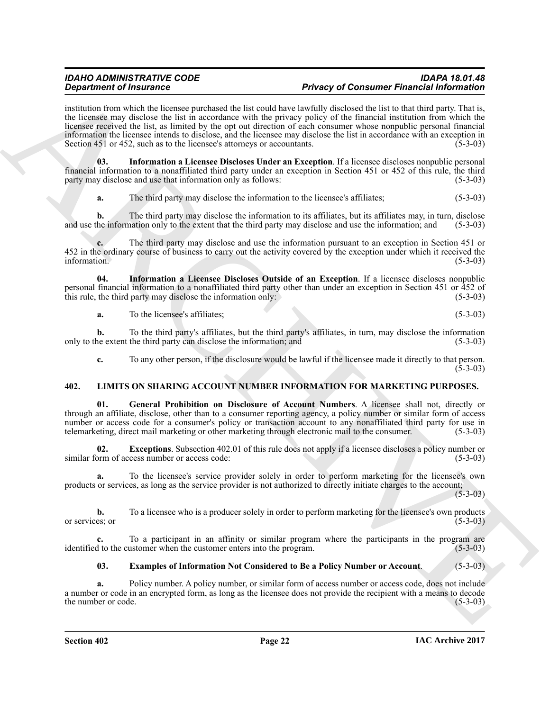#### *IDAHO ADMINISTRATIVE CODE IDAPA 18.01.48* **Privacy of Consumer Financial Information**

**Experimental Theorem Experimental In the trend for the Hart of Control Photon School Hart School Hart School Hart School Hart School Hart School Hart School Hart School Hart School Hart School Hart School Hart School Har** institution from which the licensee purchased the list could have lawfully disclosed the list to that third party. That is, the licensee may disclose the list in accordance with the privacy policy of the financial institution from which the licensee received the list, as limited by the opt out direction of each consumer whose nonpublic personal financial information the licensee intends to disclose, and the licensee may disclose the list in accordance with an exception in Section 451 or 452, such as to the licensee's attorneys or accountants. (5-3-03)

**03. Information a Licensee Discloses Under an Exception**. If a licensee discloses nonpublic personal financial information to a nonaffiliated third party under an exception in Section 451 or 452 of this rule, the third party may disclose and use that information only as follows: (5-3-03)

<span id="page-21-2"></span>**a.** The third party may disclose the information to the licensee's affiliates; (5-3-03)

**b.** The third party may disclose the information to its affiliates, but its affiliates may, in turn, disclose he information only to the extent that the third party may disclose and use the information: and (5-3-03) and use the information only to the extent that the third party may disclose and use the information; and

**c.** The third party may disclose and use the information pursuant to an exception in Section 451 or 452 in the ordinary course of business to carry out the activity covered by the exception under which it received the information.  $(5-3-03)$ information. (5-3-03)

**04. Information a Licensee Discloses Outside of an Exception**. If a licensee discloses nonpublic personal financial information to a nonaffiliated third party other than under an exception in Section 451 or 452 of this rule, the third party may disclose the information only: this rule, the third party may disclose the information only:

<span id="page-21-1"></span>**a.** To the licensee's affiliates; (5-3-03)

**b.** To the third party's affiliates, but the third party's affiliates, in turn, may disclose the information he extent the third party can disclose the information; and (5-3-03) only to the extent the third party can disclose the information; and

<span id="page-21-6"></span><span id="page-21-3"></span>**c.** To any other person, if the disclosure would be lawful if the licensee made it directly to that person.  $(5-3-03)$ 

### <span id="page-21-0"></span>**402. LIMITS ON SHARING ACCOUNT NUMBER INFORMATION FOR MARKETING PURPOSES.**

**01. General Prohibition on Disclosure of Account Numbers**. A licensee shall not, directly or through an affiliate, disclose, other than to a consumer reporting agency, a policy number or similar form of access number or access code for a consumer's policy or transaction account to any nonaffiliated third party for use in telemarketing, direct mail marketing or other marketing through electronic mail to the consumer. (5-3-03)

<span id="page-21-5"></span>**02. Exceptions**. Subsection 402.01 of this rule does not apply if a licensee discloses a policy number or access code: (5-3-03) similar form of access number or access code:

**a.** To the licensee's service provider solely in order to perform marketing for the licensee's own products or services, as long as the service provider is not authorized to directly initiate charges to the account;  $(5 - 3 - 03)$ 

**b.** To a licensee who is a producer solely in order to perform marketing for the licensee's own products es: or (5-3-03) or services; or

**c.** To a participant in an affinity or similar program where the participants in the program are 1 to the customer when the customer enters into the program. (5-3-03) identified to the customer when the customer enters into the program.

#### <span id="page-21-4"></span>**03. Examples of Information Not Considered to Be a Policy Number or Account**. (5-3-03)

**a.** Policy number. A policy number, or similar form of access number or access code, does not include a number or code in an encrypted form, as long as the licensee does not provide the recipient with a means to decode the number or code.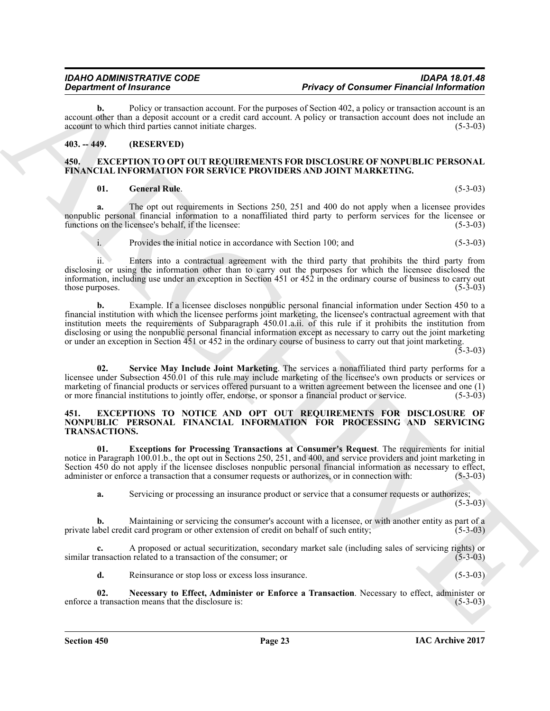**b.** Policy or transaction account. For the purposes of Section 402, a policy or transaction account is an account other than a deposit account or a credit card account. A policy or transaction account does not include an account to which third parties cannot initiate charges. (5-3-03) account to which third parties cannot initiate charges.

### <span id="page-22-0"></span>**403. -- 449. (RESERVED)**

#### <span id="page-22-3"></span><span id="page-22-1"></span>**450. EXCEPTION TO OPT OUT REQUIREMENTS FOR DISCLOSURE OF NONPUBLIC PERSONAL FINANCIAL INFORMATION FOR SERVICE PROVIDERS AND JOINT MARKETING.**

#### <span id="page-22-4"></span>**01. General Rule**. (5-3-03)

**a.** The opt out requirements in Sections 250, 251 and 400 do not apply when a licensee provides nonpublic personal financial information to a nonaffiliated third party to perform services for the licensee or<br>functions on the licensee's behalf, if the licensee: (5-3-03) functions on the licensee's behalf, if the licensee:

i. Provides the initial notice in accordance with Section 100; and (5-3-03)

ii. Enters into a contractual agreement with the third party that prohibits the third party from disclosing or using the information other than to carry out the purposes for which the licensee disclosed the information, including use under an exception in Section 451 or 452 in the ordinary course of business to carry out those purposes. (5-3-03)

**Equation of Instantanes Control and Archives Control and Archives Control and Theorem Control and Archives Control and Archives Control and Archives Control and Archives Control and Archives Control and Archives Control b.** Example. If a licensee discloses nonpublic personal financial information under Section 450 to a financial institution with which the licensee performs joint marketing, the licensee's contractual agreement with that institution meets the requirements of Subparagraph 450.01.a.ii. of this rule if it prohibits the institution from disclosing or using the nonpublic personal financial information except as necessary to carry out the joint marketing or under an exception in Section 451 or 452 in the ordinary course of business to carry out that joint marketing.

 $(5-3-03)$ 

<span id="page-22-5"></span>**02. Service May Include Joint Marketing**. The services a nonaffiliated third party performs for a licensee under Subsection 450.01 of this rule may include marketing of the licensee's own products or services or marketing of financial products or services offered pursuant to a written agreement between the licensee and one (1) or more financial institutions to jointly offer, endorse, or sponsor a financial product or service. (5-3-03)

#### <span id="page-22-6"></span><span id="page-22-2"></span>**451. EXCEPTIONS TO NOTICE AND OPT OUT REQUIREMENTS FOR DISCLOSURE OF NONPUBLIC PERSONAL FINANCIAL INFORMATION FOR PROCESSING AND SERVICING TRANSACTIONS.**

**01. Exceptions for Processing Transactions at Consumer's Request**. The requirements for initial notice in Paragraph 100.01.b., the opt out in Sections 250, 251, and 400, and service providers and joint marketing in Section 450 do not apply if the licensee discloses nonpublic personal financial information as necessary to effect, administer or enforce a transaction that a consumer requests or authorizes, or in connection with: (5-3-03)

<span id="page-22-7"></span>**a.** Servicing or processing an insurance product or service that a consumer requests or authorizes;

 $(5-3-03)$ 

**b.** Maintaining or servicing the consumer's account with a licensee, or with another entity as part of a private label credit card program or other extension of credit on behalf of such entity; (5-3-03)

**c.** A proposed or actual securitization, secondary market sale (including sales of servicing rights) or ansaction related to a transaction of the consumer; or (5-3-03) similar transaction related to a transaction of the consumer; or

<span id="page-22-8"></span>**d.** Reinsurance or stop loss or excess loss insurance. (5-3-03)

**02.** Necessary to Effect, Administer or Enforce a Transaction. Necessary to effect, administer or transaction means that the disclosure is: (5-3-03) enforce a transaction means that the disclosure is: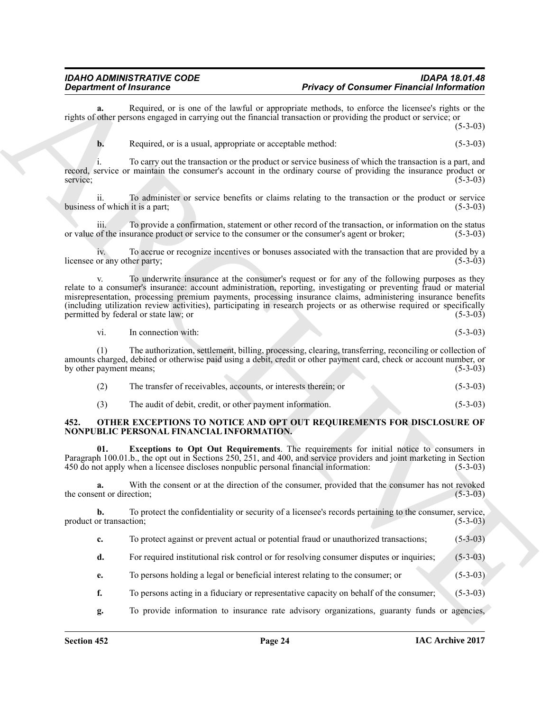#### *IDAHO ADMINISTRATIVE CODE IDAPA 18.01.48* **Privacy of Consumer Financial Information**

**a.** Required, or is one of the lawful or appropriate methods, to enforce the licensee's rights or the rights of other persons engaged in carrying out the financial transaction or providing the product or service; or

 $(5-3-03)$ 

**b.** Required, or is a usual, appropriate or acceptable method: (5-3-03)

i. To carry out the transaction or the product or service business of which the transaction is a part, and record, service or maintain the consumer's account in the ordinary course of providing the insurance product or service; (5-3-03)

ii. To administer or service benefits or claims relating to the transaction or the product or service of which it is a part; (5-3-03) business of which it is a part;

iii. To provide a confirmation, statement or other record of the transaction, or information on the status or value of the insurance product or service to the consumer or the consumer's agent or broker; (5-3-03)

iv. To accrue or recognize incentives or bonuses associated with the transaction that are provided by a<br>or any other party: (5-3-03) licensee or any other party;

**Equation of fractional of the small of the small of power of Coration Primarilla information and<br>
radius of the second state of the small of spin and originate the small of the second state of the small<br>
Republic process** To underwrite insurance at the consumer's request or for any of the following purposes as they relate to a consumer's insurance: account administration, reporting, investigating or preventing fraud or material misrepresentation, processing premium payments, processing insurance claims, administering insurance benefits (including utilization review activities), participating in research projects or as otherwise required or specifically permitted by federal or state law; or (5-3-03)

vi. In connection with: (5-3-03)

(1) The authorization, settlement, billing, processing, clearing, transferring, reconciling or collection of amounts charged, debited or otherwise paid using a debit, credit or other payment card, check or account number, or by other payment means;

| (2) | The transfer of receivables, accounts, or interests therein; or | $(5-3-03)$ |
|-----|-----------------------------------------------------------------|------------|
|-----|-----------------------------------------------------------------|------------|

<span id="page-23-2"></span><span id="page-23-1"></span>(3) The audit of debit, credit, or other payment information. (5-3-03)

#### <span id="page-23-0"></span>**452. OTHER EXCEPTIONS TO NOTICE AND OPT OUT REQUIREMENTS FOR DISCLOSURE OF NONPUBLIC PERSONAL FINANCIAL INFORMATION.**

**01. Exceptions to Opt Out Requirements**. The requirements for initial notice to consumers in Paragraph 100.01.b., the opt out in Sections 250, 251, and 400, and service providers and joint marketing in Section 450 do not apply when a licensee discloses nonpublic personal financial information: (5-3-03) 450 do not apply when a licensee discloses nonpublic personal financial information:

**a.** With the consent or at the direction of the consumer, provided that the consumer has not revoked ent or direction; (5-3-03) the consent or direction;

**b.** To protect the confidentiality or security of a licensee's records pertaining to the consumer, service, or transaction; (5-3-03) product or transaction;

- **c.** To protect against or prevent actual or potential fraud or unauthorized transactions; (5-3-03)
- **d.** For required institutional risk control or for resolving consumer disputes or inquiries; (5-3-03)
- **e.** To persons holding a legal or beneficial interest relating to the consumer; or (5-3-03)
- **f.** To persons acting in a fiduciary or representative capacity on behalf of the consumer; (5-3-03)
- **g.** To provide information to insurance rate advisory organizations, guaranty funds or agencies,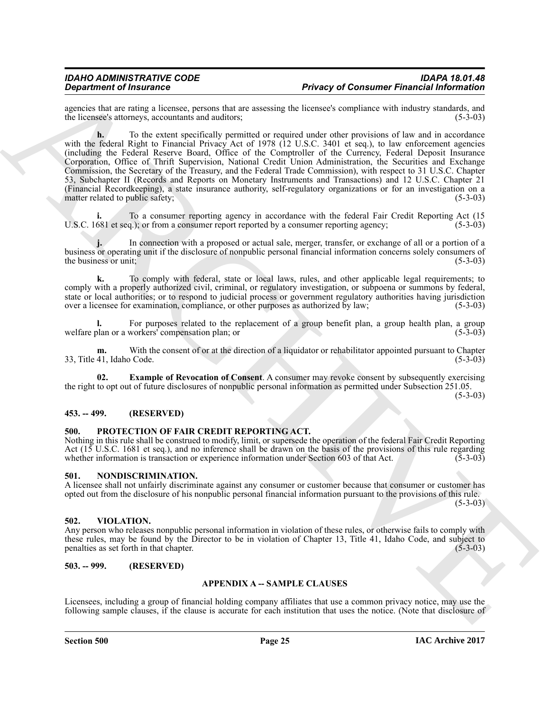agencies that are rating a licensee, persons that are assessing the licensee's compliance with industry standards, and the licensee's attorneys, accountants and auditors: (5-3-03) the licensee's attorneys, accountants and auditors;

**Experimental into the same of the same of the same of Consumer Financial Information (A) and the same of the same of the same of the same of the same of the same of the same of the same of the same of the same of the sam h.** To the extent specifically permitted or required under other provisions of law and in accordance with the federal Right to Financial Privacy Act of 1978 (12 U.S.C. 3401 et seq.), to law enforcement agencies (including the Federal Reserve Board, Office of the Comptroller of the Currency, Federal Deposit Insurance Corporation, Office of Thrift Supervision, National Credit Union Administration, the Securities and Exchange Commission, the Secretary of the Treasury, and the Federal Trade Commission), with respect to 31 U.S.C. Chapter 53, Subchapter II (Records and Reports on Monetary Instruments and Transactions) and 12 U.S.C. Chapter 21 (Financial Recordkeeping), a state insurance authority, self-regulatory organizations or for an investigation on a matter related to public safety; (5-3-03)

To a consumer reporting agency in accordance with the federal Fair Credit Reporting Act (15<br>a.): or from a consumer report reported by a consumer reporting agency: (5-3-03) U.S.C. 1681 et seq.); or from a consumer report reported by a consumer reporting agency;

In connection with a proposed or actual sale, merger, transfer, or exchange of all or a portion of a business or operating unit if the disclosure of nonpublic personal financial information concerns solely consumers of the business or unit; (5-3-03) the business or unit;

**k.** To comply with federal, state or local laws, rules, and other applicable legal requirements; to comply with a properly authorized civil, criminal, or regulatory investigation, or subpoena or summons by federal, state or local authorities; or to respond to judicial process or government regulatory authorities having jurisdiction over a licensee for examination, compliance, or other purposes as authorized by law; (5-3-03) over a licensee for examination, compliance, or other purposes as authorized by law;

**l.** For purposes related to the replacement of a group benefit plan, a group health plan, a group benefit plan or a workers' compensation plan; or  $(5-3-03)$ welfare plan or a workers' compensation plan; or

**m.** With the consent of or at the direction of a liquidator or rehabilitator appointed pursuant to Chapter 41, Idaho Code. (5-3-03) 33, Title 41, Idaho Code.

<span id="page-24-6"></span>**02. Example of Revocation of Consent**. A consumer may revoke consent by subsequently exercising the right to opt out of future disclosures of nonpublic personal information as permitted under Subsection 251.05.

(5-3-03)

#### <span id="page-24-0"></span>**453. -- 499. (RESERVED)**

#### <span id="page-24-7"></span><span id="page-24-1"></span>**500. PROTECTION OF FAIR CREDIT REPORTING ACT.**

Nothing in this rule shall be construed to modify, limit, or supersede the operation of the federal Fair Credit Reporting Act (15 U.S.C. 1681 et seq.), and no inference shall be drawn on the basis of the provisions of this rule regarding whether information is transaction or experience information under Section 603 of that Act. (5-3-03) whether information is transaction or experience information under Section 603 of that Act.

#### <span id="page-24-5"></span><span id="page-24-2"></span>**501. NONDISCRIMINATION.**

A licensee shall not unfairly discriminate against any consumer or customer because that consumer or customer has opted out from the disclosure of his nonpublic personal financial information pursuant to the provisions of this rule.

 $(5-3-03)$ 

#### <span id="page-24-8"></span><span id="page-24-3"></span>**502. VIOLATION.**

Any person who releases nonpublic personal information in violation of these rules, or otherwise fails to comply with these rules, may be found by the Director to be in violation of Chapter 13, Title 41, Idaho Code, and subject to penalties as set forth in that chapter. penalties as set forth in that chapter.

#### <span id="page-24-4"></span>**503. -- 999. (RESERVED)**

#### **APPENDIX A -- SAMPLE CLAUSES**

Licensees, including a group of financial holding company affiliates that use a common privacy notice, may use the following sample clauses, if the clause is accurate for each institution that uses the notice. (Note that disclosure of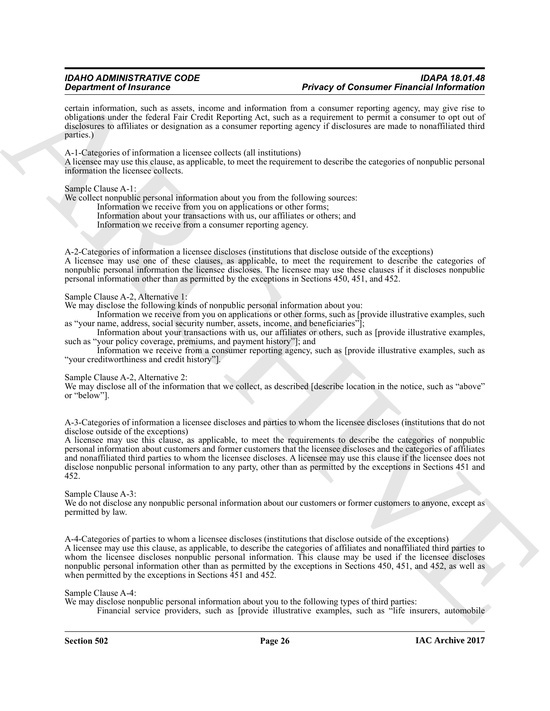certain information, such as assets, income and information from a consumer reporting agency, may give rise to obligations under the federal Fair Credit Reporting Act, such as a requirement to permit a consumer to opt out of disclosures to affiliates or designation as a consumer reporting agency if disclosures are made to nonaffiliated third parties.)

A-1-Categories of information a licensee collects (all institutions)

A licensee may use this clause, as applicable, to meet the requirement to describe the categories of nonpublic personal information the licensee collects.

Sample Clause A-1:

We collect nonpublic personal information about you from the following sources:

Information we receive from you on applications or other forms; Information about your transactions with us, our affiliates or others; and

Information we receive from a consumer reporting agency.

A-2-Categories of information a licensee discloses (institutions that disclose outside of the exceptions) A licensee may use one of these clauses, as applicable, to meet the requirement to describe the categories of nonpublic personal information the licensee discloses. The licensee may use these clauses if it discloses nonpublic personal information other than as permitted by the exceptions in Sections 450, 451, and 452.

Sample Clause A-2, Alternative 1:

We may disclose the following kinds of nonpublic personal information about you:

Information we receive from you on applications or other forms, such as [provide illustrative examples, such as "your name, address, social security number, assets, income, and beneficiaries"];

Information about your transactions with us, our affiliates or others, such as [provide illustrative examples, such as "your policy coverage, premiums, and payment history"]; and

Information we receive from a consumer reporting agency, such as [provide illustrative examples, such as "your creditworthiness and credit history"].

#### Sample Clause A-2, Alternative 2:

We may disclose all of the information that we collect, as described [describe location in the notice, such as "above" or "below"].

A-3-Categories of information a licensee discloses and parties to whom the licensee discloses (institutions that do not disclose outside of the exceptions)

**Strainer of Financial Strainer and Strainer Extrainer Bonda Control Control Control Control Control Control Control Control Control Control Control Control Control Control Control Control Control Control Control Control** A licensee may use this clause, as applicable, to meet the requirements to describe the categories of nonpublic personal information about customers and former customers that the licensee discloses and the categories of affiliates and nonaffiliated third parties to whom the licensee discloses. A licensee may use this clause if the licensee does not disclose nonpublic personal information to any party, other than as permitted by the exceptions in Sections 451 and 452.

Sample Clause A-3:

We do not disclose any nonpublic personal information about our customers or former customers to anyone, except as permitted by law.

A-4-Categories of parties to whom a licensee discloses (institutions that disclose outside of the exceptions) A licensee may use this clause, as applicable, to describe the categories of affiliates and nonaffiliated third parties to whom the licensee discloses nonpublic personal information. This clause may be used if the licensee discloses nonpublic personal information other than as permitted by the exceptions in Sections 450, 451, and 452, as well as when permitted by the exceptions in Sections 451 and 452.

Sample Clause A-4:

We may disclose nonpublic personal information about you to the following types of third parties:

Financial service providers, such as [provide illustrative examples, such as "life insurers, automobile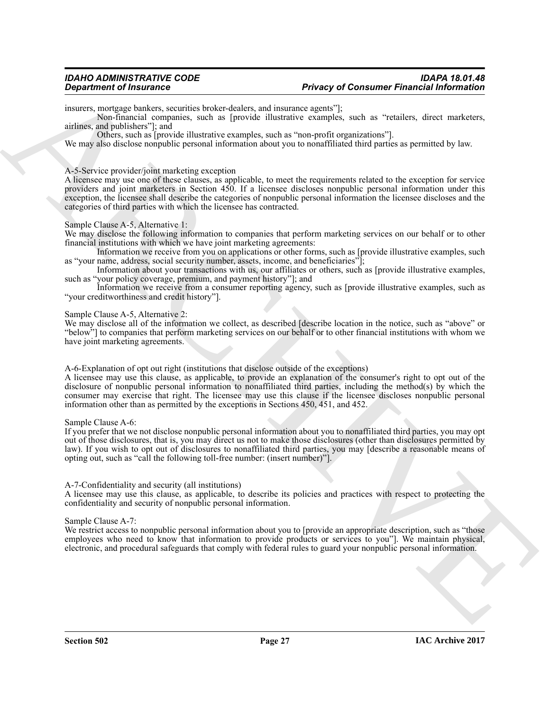#### *IDAHO ADMINISTRATIVE CODE IDAPA 18.01.48* **Privacy of Consumer Financial Information**

insurers, mortgage bankers, securities broker-dealers, and insurance agents"];

Non-financial companies, such as [provide illustrative examples, such as "retailers, direct marketers, airlines, and publishers"]; and

Others, such as [provide illustrative examples, such as "non-profit organizations"].

We may also disclose nonpublic personal information about you to nonaffiliated third parties as permitted by law.

#### A-5-Service provider/joint marketing exception

**Department of Insurance**. Somewhal belongstoches, and amounts appear the means of Consumer Financial Information<br>means a material and the state of the state of the state of the state of the state of the state of the stat A licensee may use one of these clauses, as applicable, to meet the requirements related to the exception for service providers and joint marketers in Section 450. If a licensee discloses nonpublic personal information under this exception, the licensee shall describe the categories of nonpublic personal information the licensee discloses and the categories of third parties with which the licensee has contracted.

#### Sample Clause A-5, Alternative 1:

We may disclose the following information to companies that perform marketing services on our behalf or to other financial institutions with which we have joint marketing agreements:

Information we receive from you on applications or other forms, such as [provide illustrative examples, such as "your name, address, social security number, assets, income, and beneficiaries"];

Information about your transactions with us, our affiliates or others, such as [provide illustrative examples, such as "your policy coverage, premium, and payment history"]; and

Information we receive from a consumer reporting agency, such as [provide illustrative examples, such as "your creditworthiness and credit history"].

#### Sample Clause A-5, Alternative 2:

We may disclose all of the information we collect, as described [describe location in the notice, such as "above" or "below"] to companies that perform marketing services on our behalf or to other financial institutions with whom we have joint marketing agreements.

A-6-Explanation of opt out right (institutions that disclose outside of the exceptions)

A licensee may use this clause, as applicable, to provide an explanation of the consumer's right to opt out of the disclosure of nonpublic personal information to nonaffiliated third parties, including the method(s) by which the consumer may exercise that right. The licensee may use this clause if the licensee discloses nonpublic personal information other than as permitted by the exceptions in Sections 450, 451, and 452.

#### Sample Clause A-6:

If you prefer that we not disclose nonpublic personal information about you to nonaffiliated third parties, you may opt out of those disclosures, that is, you may direct us not to make those disclosures (other than disclosures permitted by law). If you wish to opt out of disclosures to nonaffiliated third parties, you may [describe a reasonable means of opting out, such as "call the following toll-free number: (insert number)"].

#### A-7-Confidentiality and security (all institutions)

A licensee may use this clause, as applicable, to describe its policies and practices with respect to protecting the confidentiality and security of nonpublic personal information.

Sample Clause A-7:

We restrict access to nonpublic personal information about you to [provide an appropriate description, such as "those employees who need to know that information to provide products or services to you"]. We maintain physical, electronic, and procedural safeguards that comply with federal rules to guard your nonpublic personal information.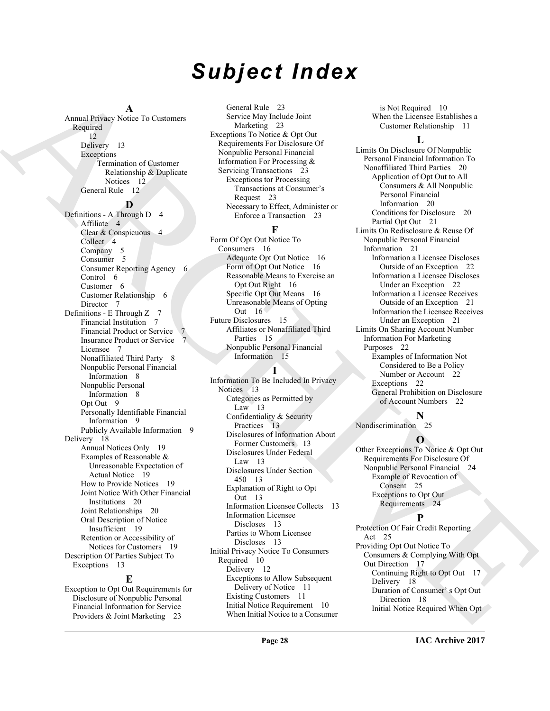## *Subject Index*

#### **A**

Annual Privacy Notice To Customers Required 12 Delivery 13 Exceptions Termination of Customer Relationship & Duplicate Notices 12 General Rule 12

#### **D**

Annual Property - [C](#page-15-3)ommunication (Section 2) Sixty Registed University (Section 2)<br>
Southern Southern Street (Section 2) Sixty Register (Section 2) (Section 2)<br>
Design and the street (Section 2) (Section 2) (Section 2) (Se Definitions - A Through D 4 Affiliate 4 Clear & Conspicuous 4 Collect<sub>4</sub> Company 5 Consumer<sub>5</sub> Consumer Reporting Agency 6 Control 6 Customer 6 Customer Relationship 6 Director 7 Definitions - E Through Z 7 Financial Institution 7 Financial Product or Service Insurance Product or Service 7 Licensee 7 Nonaffiliated Third Party 8 Nonpublic Personal Financial Information 8 Nonpublic Personal Information 8 Opt Out 9 Personally Identifiable Financial Information 9 Publicly Available Information 9 Delivery 18 Annual Notices Only 19 Examples of Reasonable & Unreasonable Expectation of Actual Notice 19 How to Provide Notices 19 Joint Notice With Other Financial Institutions 20 Joint Relationships 20 Oral Description of Notice Insufficient 19 Retention or Accessibility of Notices for Customers 19 Description Of Parties Subject To Exceptions 13

#### **E**

Exception to Opt Out Requirements for Disclosure of Nonpublic Personal Financial Information for Service Providers & Joint Marketing 23

General Rule 23 Service May Include Joint Marketing 23 Exceptions To Notice & Opt Out Requirements For Disclosure Of Nonpublic Personal Financial Information For Processing & Servicing Transactions 23 Exceptions tor Processing Transactions at Consumer's Request 23 Necessary to Effect, Administer or Enforce a Transaction 23

#### **F**

Form Of Opt Out Notice To Consumers 16 Adequate Opt Out Notice 16 Form of Opt Out Notice 16 Reasonable Means to Exercise an Opt Out Right 16 Specific Opt Out Means 16 Unreasonable Means of Opting Out 16 Future Disclosures 15 Affiliates or Nonaffiliated Third Parties 15 Nonpublic Personal Financial Information 15

#### **I**

Information To Be Included In Privacy Notices 13 Categories as Permitted by Law 13 Confidentiality & Security Practices 13 Disclosures of Information About Former Customers 13 Disclosures Under Federal Law 13 Disclosures Under Section 450 13 Explanation of Right to Opt Out 13 Information Licensee Collects 13 Information Licensee Discloses 13 Parties to Whom Licensee Discloses 13 Initial Privacy Notice To Consumers Required 10 Delivery 12 Exceptions to Allow Subsequent Delivery of Notice 11 Existing Customers 11 Initial Notice Requirement 10 When Initial Notice to a Consumer

is Not Required 10 When the Licensee Establishes a Customer Relationship 11

#### **L**

Limits On Disclosure Of Nonpublic Personal Financial Information To Nonaffiliated Third Parties 20 Application of Opt Out to All Consumers & All Nonpublic Personal Financial Information 20 Conditions for Disclosure 20 Partial Opt Out 21 Limits On Redisclosure & Reuse Of Nonpublic Personal Financial Information 21 Information a Licensee Discloses Outside of an Exception 22 Information a Licensee Discloses Under an Exception 22 Information a Licensee Receives Outside of an Exception 21 Information the Licensee Receives Under an Exception 21 Limits On Sharing Account Number Information For Marketing Purposes 22 Examples of Information Not Considered to Be a Policy Number or Account 22 Exceptions 22 General Prohibition on Disclosure of Account Numbers 22

### **N**

Nondiscrimination 25

#### **O**

Other Exceptions To Notice & Opt Out Requirements For Disclosure Of Nonpublic Personal Financial 24 Example of Revocation of Consent 25 Exceptions to Opt Out Requirements 24

#### **P**

Protection Of Fair Credit Reporting Act 25 Providing Opt Out Notice To Consumers & Complying With Opt Out Direction 17 Continuing Right to Opt Out 17 Delivery 18 Duration of Consumer' s Opt Out Direction 18 Initial Notice Required When Opt